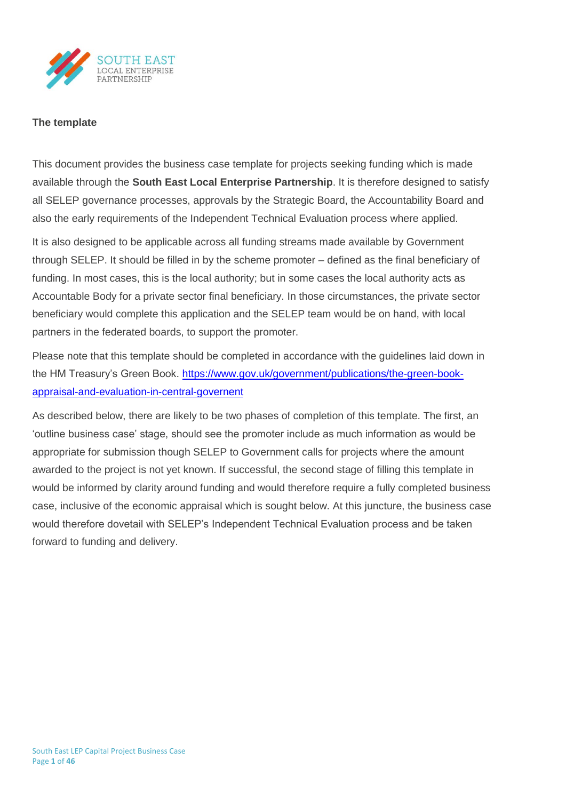

### **The template**

This document provides the business case template for projects seeking funding which is made available through the **South East Local Enterprise Partnership**. It is therefore designed to satisfy all SELEP governance processes, approvals by the Strategic Board, the Accountability Board and also the early requirements of the Independent Technical Evaluation process where applied.

It is also designed to be applicable across all funding streams made available by Government through SELEP. It should be filled in by the scheme promoter – defined as the final beneficiary of funding. In most cases, this is the local authority; but in some cases the local authority acts as Accountable Body for a private sector final beneficiary. In those circumstances, the private sector beneficiary would complete this application and the SELEP team would be on hand, with local partners in the federated boards, to support the promoter.

Please note that this template should be completed in accordance with the guidelines laid down in the HM Treasury's Green Book. [https://www.gov.uk/government/publications/the-green-book](https://www.gov.uk/government/publications/the-green-book-appraisal-and-evaluation-in-central-governent)[appraisal-and-evaluation-in-central-governent](https://www.gov.uk/government/publications/the-green-book-appraisal-and-evaluation-in-central-governent)

As described below, there are likely to be two phases of completion of this template. The first, an 'outline business case' stage, should see the promoter include as much information as would be appropriate for submission though SELEP to Government calls for projects where the amount awarded to the project is not yet known. If successful, the second stage of filling this template in would be informed by clarity around funding and would therefore require a fully completed business case, inclusive of the economic appraisal which is sought below. At this juncture, the business case would therefore dovetail with SELEP's Independent Technical Evaluation process and be taken forward to funding and delivery.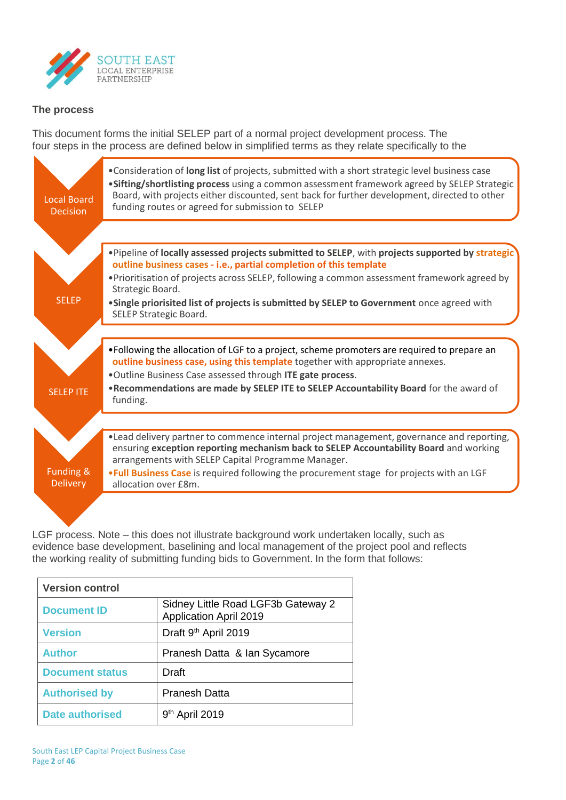

## **The process**

This document forms the initial SELEP part of a normal project development process. The four steps in the process are defined below in simplified terms as they relate specifically to the



LGF process. Note – this does not illustrate background work undertaken locally, such as evidence base development, baselining and local management of the project pool and reflects the working reality of submitting funding bids to Government. In the form that follows:

| <b>Version control</b> |                                                                     |
|------------------------|---------------------------------------------------------------------|
| <b>Document ID</b>     | Sidney Little Road LGF3b Gateway 2<br><b>Application April 2019</b> |
| <b>Version</b>         | Draft 9 <sup>th</sup> April 2019                                    |
| <b>Author</b>          | Pranesh Datta & Ian Sycamore                                        |
| <b>Document status</b> | Draft                                                               |
| <b>Authorised by</b>   | <b>Pranesh Datta</b>                                                |
| <b>Date authorised</b> | $9th$ April 2019                                                    |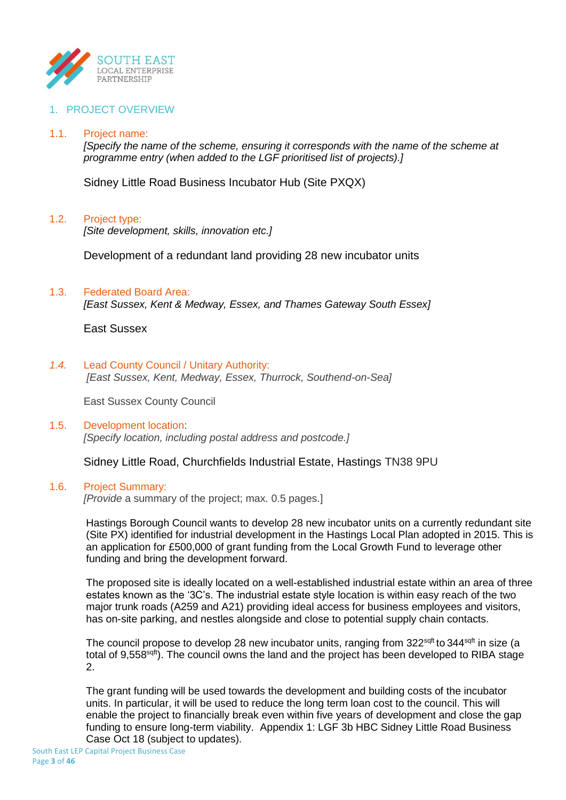

## 1. PROJECT OVERVIEW

### 1.1. Project name:

*[Specify the name of the scheme, ensuring it corresponds with the name of the scheme at programme entry (when added to the LGF prioritised list of projects).]*

Sidney Little Road Business Incubator Hub (Site PXQX)

#### 1.2. Project type:

*[Site development, skills, innovation etc.]*

Development of a redundant land providing 28 new incubator units

#### 1.3. Federated Board Area:

*[East Sussex, Kent & Medway, Essex, and Thames Gateway South Essex]*

East Sussex

#### *1.4.* Lead County Council / Unitary Authority:

*[East Sussex, Kent, Medway, Essex, Thurrock, Southend-on-Sea]*

East Sussex County Council

### 1.5. Development location: *[Specify location, including postal address and postcode.]*

Sidney Little Road, Churchfields Industrial Estate, Hastings TN38 9PU

### 1.6. Project Summary:

*[Provide* a summary of the project; max. 0.5 pages.]

Hastings Borough Council wants to develop 28 new incubator units on a currently redundant site (Site PX) identified for industrial development in the Hastings Local Plan adopted in 2015. This is an application for £500,000 of grant funding from the Local Growth Fund to leverage other funding and bring the development forward.

The proposed site is ideally located on a well-established industrial estate within an area of three estates known as the '3C's. The industrial estate style location is within easy reach of the two major trunk roads (A259 and A21) providing ideal access for business employees and visitors, has on-site parking, and nestles alongside and close to potential supply chain contacts.

The council propose to develop 28 new incubator units, ranging from 322<sup>sqft</sup> to 344<sup>sqft</sup> in size (a total of 9,558<sup>sqft</sup>). The council owns the land and the project has been developed to RIBA stage 2.

The grant funding will be used towards the development and building costs of the incubator units. In particular, it will be used to reduce the long term loan cost to the council. This will enable the project to financially break even within five years of development and close the gap funding to ensure long-term viability. Appendix 1: LGF 3b HBC Sidney Little Road Business Case Oct 18 (subject to updates).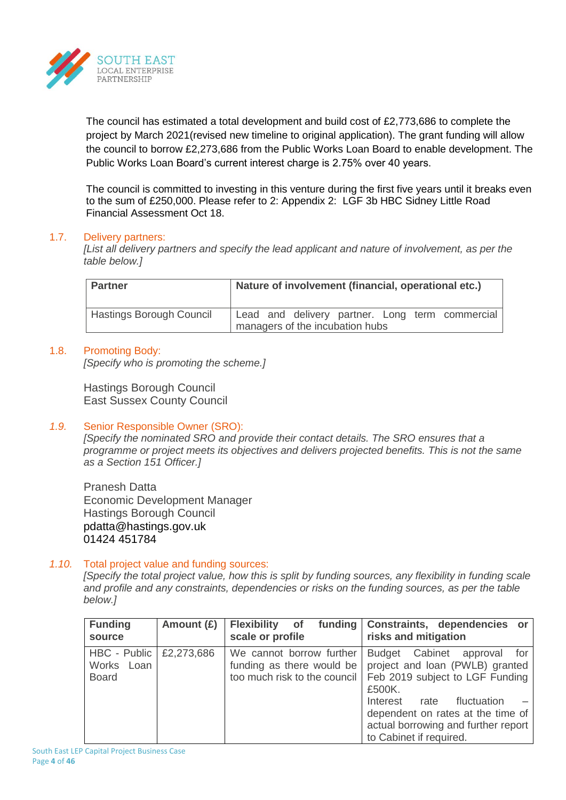

The council has estimated a total development and build cost of £2,773,686 to complete the project by March 2021(revised new timeline to original application). The grant funding will allow the council to borrow £2,273,686 from the Public Works Loan Board to enable development. The Public Works Loan Board's current interest charge is 2.75% over 40 years.

The council is committed to investing in this venture during the first five years until it breaks even to the sum of £250,000. Please refer to 2: Appendix 2: LGF 3b HBC Sidney Little Road Financial Assessment Oct 18.

## 1.7. Delivery partners:

*[List all delivery partners and specify the lead applicant and nature of involvement, as per the table below.]*

| <b>Partner</b>                  | Nature of involvement (financial, operational etc.)                                |  |  |
|---------------------------------|------------------------------------------------------------------------------------|--|--|
| <b>Hastings Borough Council</b> | Lead and delivery partner. Long term commercial<br>managers of the incubation hubs |  |  |

## 1.8. Promoting Body:

*[Specify who is promoting the scheme.]*

Hastings Borough Council East Sussex County Council

# *1.9.* Senior Responsible Owner (SRO):

*[Specify the nominated SRO and provide their contact details. The SRO ensures that a programme or project meets its objectives and delivers projected benefits. This is not the same as a Section 151 Officer.]*

Pranesh Datta Economic Development Manager Hastings Borough Council pdatta@hastings.gov.uk 01424 451784

## *1.10.* Total project value and funding sources:

*[Specify the total project value, how this is split by funding sources, any flexibility in funding scale and profile and any constraints, dependencies or risks on the funding sources, as per the table below.]*

| <b>Funding</b><br>source                   | Amount $(E)$ | funding<br><b>Flexibility</b> of<br>scale or profile                                  | Constraints, dependencies or<br>risks and mitigation                                                                                                                                                                                                  |
|--------------------------------------------|--------------|---------------------------------------------------------------------------------------|-------------------------------------------------------------------------------------------------------------------------------------------------------------------------------------------------------------------------------------------------------|
| HBC - Public<br>Works Loan<br><b>Board</b> | £2,273,686   | We cannot borrow further<br>funding as there would be<br>too much risk to the council | Budget Cabinet approval<br>for<br>project and loan (PWLB) granted<br>Feb 2019 subject to LGF Funding<br>£500K.<br>Interest rate<br>fluctuation<br>dependent on rates at the time of<br>actual borrowing and further report<br>to Cabinet if required. |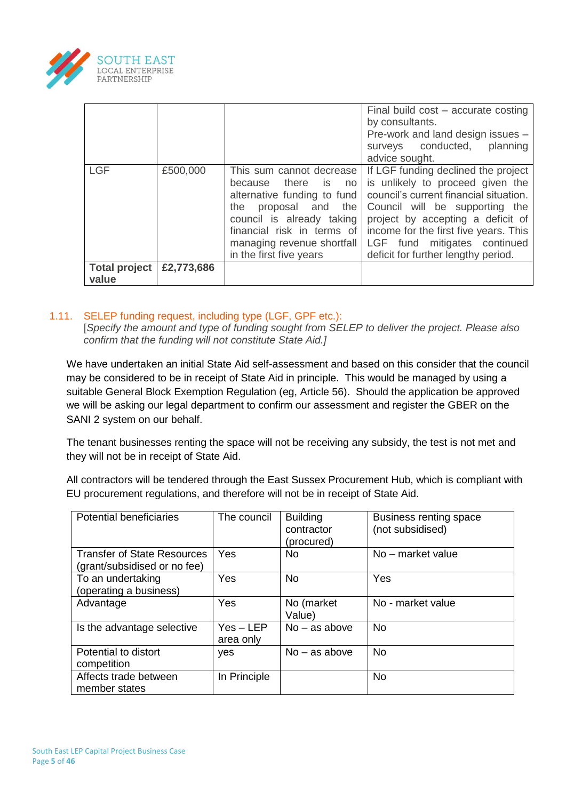

|                               |            |                                                                                                                                                                                                                                  | Final build $cost - accurate costing$<br>by consultants.<br>Pre-work and land design issues -<br>surveys conducted,<br>planning<br>advice sought.                                                                                                                                                        |
|-------------------------------|------------|----------------------------------------------------------------------------------------------------------------------------------------------------------------------------------------------------------------------------------|----------------------------------------------------------------------------------------------------------------------------------------------------------------------------------------------------------------------------------------------------------------------------------------------------------|
| <b>LGF</b>                    | £500,000   | This sum cannot decrease<br>because there is no<br>alternative funding to fund<br>proposal and<br>the<br>the<br>council is already taking<br>financial risk in terms of<br>managing revenue shortfall<br>in the first five years | If LGF funding declined the project<br>is unlikely to proceed given the<br>council's current financial situation.<br>Council will be supporting the<br>project by accepting a deficit of<br>income for the first five years. This<br>LGF fund mitigates continued<br>deficit for further lengthy period. |
| <b>Total project</b><br>value | £2,773,686 |                                                                                                                                                                                                                                  |                                                                                                                                                                                                                                                                                                          |

## 1.11. SELEP funding request, including type (LGF, GPF etc.):

[*Specify the amount and type of funding sought from SELEP to deliver the project. Please also confirm that the funding will not constitute State Aid.]*

We have undertaken an initial State Aid self-assessment and based on this consider that the council may be considered to be in receipt of State Aid in principle. This would be managed by using a suitable General Block Exemption Regulation (eg, Article 56). Should the application be approved we will be asking our legal department to confirm our assessment and register the GBER on the SANI 2 system on our behalf.

The tenant businesses renting the space will not be receiving any subsidy, the test is not met and they will not be in receipt of State Aid.

All contractors will be tendered through the East Sussex Procurement Hub, which is compliant with EU procurement regulations, and therefore will not be in receipt of State Aid.

| <b>Potential beneficiaries</b>                                     | The council              | <b>Building</b><br>contractor<br>(procured) | Business renting space<br>(not subsidised) |
|--------------------------------------------------------------------|--------------------------|---------------------------------------------|--------------------------------------------|
| <b>Transfer of State Resources</b><br>(grant/subsidised or no fee) | Yes                      | <b>No</b>                                   | No – market value                          |
| To an undertaking<br>(operating a business)                        | Yes                      | <b>No</b>                                   | Yes                                        |
| Advantage                                                          | Yes                      | No (market<br>Value)                        | No - market value                          |
| Is the advantage selective                                         | $Yes - LEP$<br>area only | $No - as above$                             | <b>No</b>                                  |
| Potential to distort<br>competition                                | yes                      | $No - as above$                             | <b>No</b>                                  |
| Affects trade between<br>member states                             | In Principle             |                                             | <b>No</b>                                  |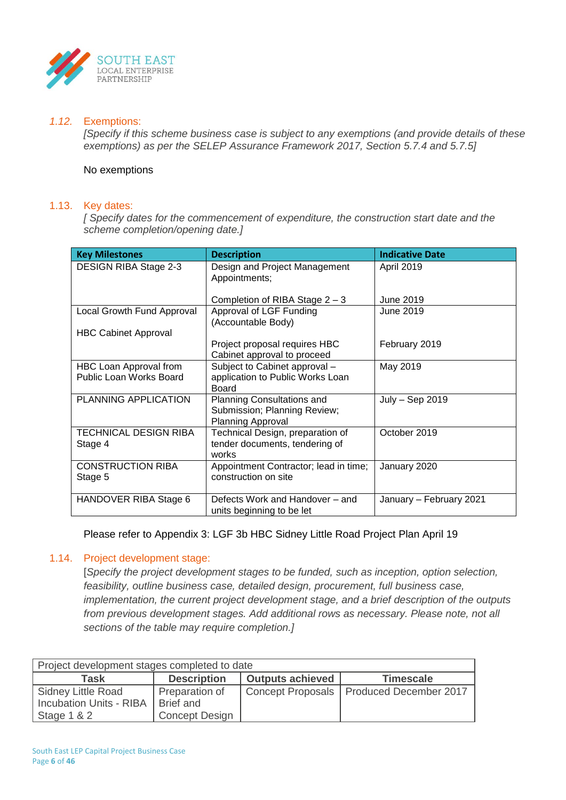

### *1.12.* Exemptions:

*[Specify if this scheme business case is subject to any exemptions (and provide details of these exemptions) as per the SELEP Assurance Framework 2017, Section 5.7.4 and 5.7.5]*

#### No exemptions

#### 1.13. Key dates:

*[ Specify dates for the commencement of expenditure, the construction start date and the scheme completion/opening date.]*

| <b>Key Milestones</b>                                    | <b>Description</b>                                                                | <b>Indicative Date</b>  |
|----------------------------------------------------------|-----------------------------------------------------------------------------------|-------------------------|
| <b>DESIGN RIBA Stage 2-3</b>                             | Design and Project Management<br>Appointments;                                    | April 2019              |
|                                                          | Completion of RIBA Stage $2 - 3$                                                  | June 2019               |
| Local Growth Fund Approval                               | Approval of LGF Funding<br>(Accountable Body)                                     | June 2019               |
| <b>HBC Cabinet Approval</b>                              |                                                                                   |                         |
|                                                          | Project proposal requires HBC<br>Cabinet approval to proceed                      | February 2019           |
| HBC Loan Approval from<br><b>Public Loan Works Board</b> | Subject to Cabinet approval -<br>application to Public Works Loan<br><b>Board</b> | May 2019                |
| PLANNING APPLICATION                                     | Planning Consultations and<br>Submission; Planning Review;<br>Planning Approval   | July - Sep 2019         |
| <b>TECHNICAL DESIGN RIBA</b><br>Stage 4                  | Technical Design, preparation of<br>tender documents, tendering of<br>works       | October 2019            |
| <b>CONSTRUCTION RIBA</b><br>Stage 5                      | Appointment Contractor; lead in time;<br>construction on site                     | January 2020            |
| HANDOVER RIBA Stage 6                                    | Defects Work and Handover – and<br>units beginning to be let                      | January - February 2021 |

Please refer to Appendix 3: LGF 3b HBC Sidney Little Road Project Plan April 19

#### 1.14. Project development stage:

[*Specify the project development stages to be funded, such as inception, option selection, feasibility, outline business case, detailed design, procurement, full business case, implementation, the current project development stage, and a brief description of the outputs from previous development stages. Add additional rows as necessary. Please note, not all sections of the table may require completion.]*

| Project development stages completed to date |                       |                         |                                            |  |
|----------------------------------------------|-----------------------|-------------------------|--------------------------------------------|--|
| Task                                         | <b>Description</b>    | <b>Outputs achieved</b> | <b>Timescale</b>                           |  |
| Sidney Little Road                           | Preparation of        |                         | Concept Proposals   Produced December 2017 |  |
| <b>Incubation Units - RIBA</b>               | Brief and             |                         |                                            |  |
| Stage $1 & 2$                                | <b>Concept Design</b> |                         |                                            |  |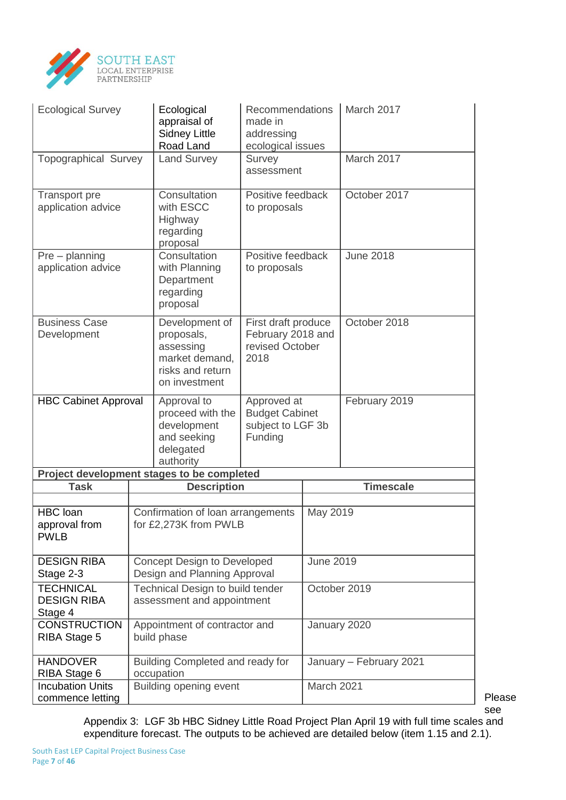

| <b>Ecological Survey</b><br>Ecological<br>appraisal of<br><b>Sidney Little</b><br>Road Land |                                                                                                  | Recommendations<br>made in<br>addressing<br>ecological issues        |                  | March 2017              |
|---------------------------------------------------------------------------------------------|--------------------------------------------------------------------------------------------------|----------------------------------------------------------------------|------------------|-------------------------|
| <b>Topographical Survey</b>                                                                 | <b>Land Survey</b>                                                                               | Survey<br>assessment                                                 |                  | March 2017              |
| Transport pre<br>application advice                                                         | Consultation<br>with ESCC<br>Highway<br>regarding<br>proposal                                    | Positive feedback<br>to proposals                                    |                  | October 2017            |
| $Pre$ – planning<br>application advice                                                      | Consultation<br>with Planning<br>Department<br>regarding<br>proposal                             | Positive feedback<br>to proposals                                    |                  | <b>June 2018</b>        |
| <b>Business Case</b><br>Development                                                         | Development of<br>proposals,<br>assessing<br>market demand,<br>risks and return<br>on investment | First draft produce<br>February 2018 and<br>revised October<br>2018  |                  | October 2018            |
| <b>HBC Cabinet Approval</b>                                                                 | Approval to<br>proceed with the<br>development<br>and seeking<br>delegated<br>authority          | Approved at<br><b>Budget Cabinet</b><br>subject to LGF 3b<br>Funding |                  | February 2019           |
|                                                                                             | Project development stages to be completed                                                       |                                                                      |                  |                         |
| <b>Task</b>                                                                                 | <b>Description</b>                                                                               |                                                                      |                  | <b>Timescale</b>        |
| <b>HBC</b> loan<br>approval from<br><b>PWLB</b>                                             | Confirmation of loan arrangements<br>for £2,273K from PWLB                                       |                                                                      | May 2019         |                         |
| <b>DESIGN RIBA</b><br>Stage 2-3                                                             | <b>Concept Design to Developed</b><br>Design and Planning Approval                               |                                                                      | <b>June 2019</b> |                         |
| <b>TECHNICAL</b><br><b>DESIGN RIBA</b><br>Stage 4                                           | Technical Design to build tender<br>assessment and appointment                                   |                                                                      | October 2019     |                         |
| <b>CONSTRUCTION</b><br>RIBA Stage 5                                                         | Appointment of contractor and<br>build phase                                                     |                                                                      | January 2020     |                         |
| <b>HANDOVER</b><br>RIBA Stage 6                                                             | Building Completed and ready for<br>occupation                                                   |                                                                      |                  | January - February 2021 |
| <b>Incubation Units</b><br>commence letting                                                 | Building opening event                                                                           |                                                                      | March 2021       |                         |

Please see

Appendix 3: LGF 3b HBC Sidney Little Road Project Plan April 19 with full time scales and expenditure forecast. The outputs to be achieved are detailed below (item 1.15 and 2.1).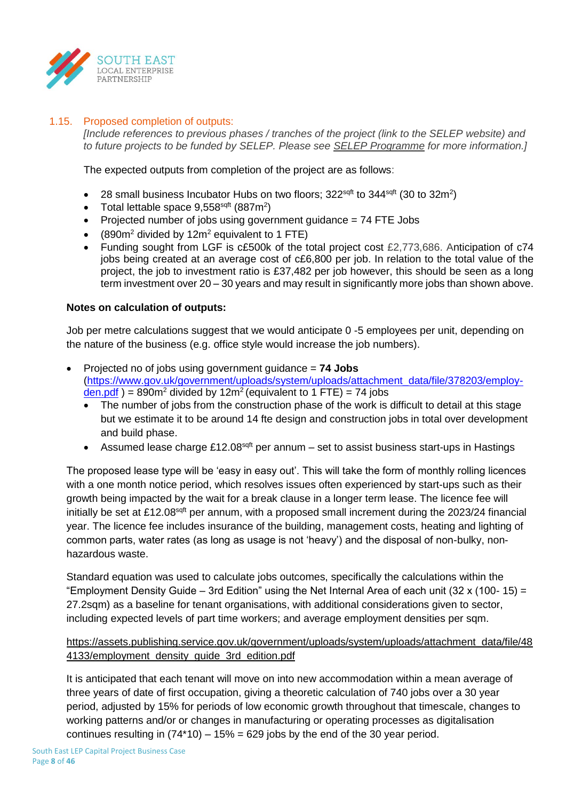

## 1.15. Proposed completion of outputs:

*[Include references to previous phases / tranches of the project (link to the SELEP website) and to future projects to be funded by SELEP. Please see SELEP Programme for more information.]*

The expected outputs from completion of the project are as follows:

- 28 small business Incubator Hubs on two floors;  $322^{\text{sqft}}$  to  $344^{\text{sqft}}$  (30 to  $32m^2$ )
- Total lettable space  $9,558^{\text{sqrt}}$  (887m<sup>2</sup>)
- Projected number of jobs using government guidance = 74 FTE Jobs
- $(890m^2 \text{ divided by } 12m^2 \text{ equivalent to } 1 \text{ FTE})$
- Funding sought from LGF is c£500k of the total project cost £2,773,686. Anticipation of c74 jobs being created at an average cost of c£6,800 per job. In relation to the total value of the project, the job to investment ratio is £37,482 per job however, this should be seen as a long term investment over 20 – 30 years and may result in significantly more jobs than shown above.

## **Notes on calculation of outputs:**

Job per metre calculations suggest that we would anticipate 0 -5 employees per unit, depending on the nature of the business (e.g. office style would increase the job numbers).

- Projected no of jobs using government guidance = **74 Jobs** [\(https://www.gov.uk/government/uploads/system/uploads/attachment\\_data/file/378203/employ](https://www.gov.uk/government/uploads/system/uploads/attachment_data/file/378203/employ-den.pdf) $den.pdf$ ) = 890m<sup>2</sup> divided by 12m<sup>2</sup> (equivalent to 1 FTE) = 74 jobs
	- The number of jobs from the construction phase of the work is difficult to detail at this stage but we estimate it to be around 14 fte design and construction jobs in total over development and build phase.
	- Assumed lease charge £12.08 $^{sqt}$  per annum set to assist business start-ups in Hastings

The proposed lease type will be 'easy in easy out'. This will take the form of monthly rolling licences with a one month notice period, which resolves issues often experienced by start-ups such as their growth being impacted by the wait for a break clause in a longer term lease. The licence fee will initially be set at £12.08 $^{sqft}$  per annum, with a proposed small increment during the 2023/24 financial year. The licence fee includes insurance of the building, management costs, heating and lighting of common parts, water rates (as long as usage is not 'heavy') and the disposal of non-bulky, nonhazardous waste.

Standard equation was used to calculate jobs outcomes, specifically the calculations within the "Employment Density Guide – 3rd Edition" using the Net Internal Area of each unit (32 x (100- 15) = 27.2sqm) as a baseline for tenant organisations, with additional considerations given to sector, including expected levels of part time workers; and average employment densities per sqm.

# [https://assets.publishing.service.gov.uk/government/uploads/system/uploads/attachment\\_data/file/48](https://assets.publishing.service.gov.uk/government/uploads/system/uploads/attachment_data/file/484133/employment_density_guide_3rd_edition.pdf) 4133/employment density guide 3rd edition.pdf

It is anticipated that each tenant will move on into new accommodation within a mean average of three years of date of first occupation, giving a theoretic calculation of 740 jobs over a 30 year period, adjusted by 15% for periods of low economic growth throughout that timescale, changes to working patterns and/or or changes in manufacturing or operating processes as digitalisation continues resulting in  $(74*10) - 15% = 629$  jobs by the end of the 30 year period.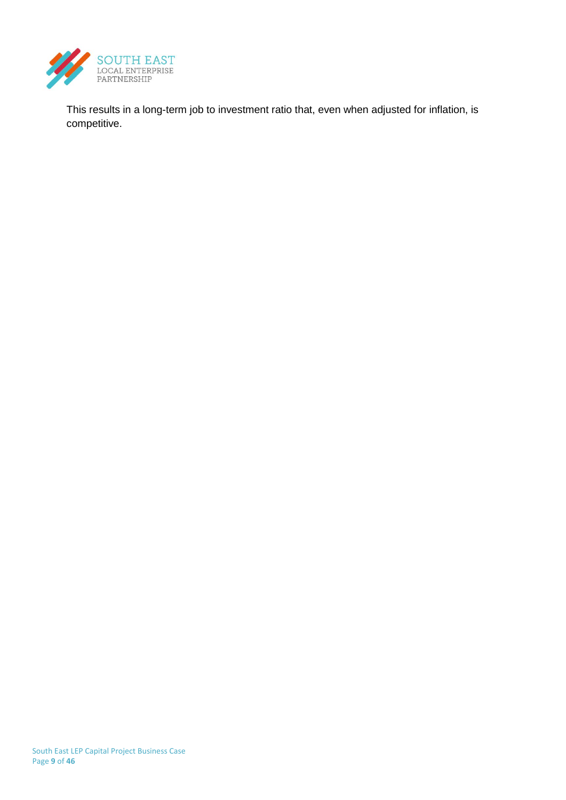

This results in a long-term job to investment ratio that, even when adjusted for inflation, is competitive.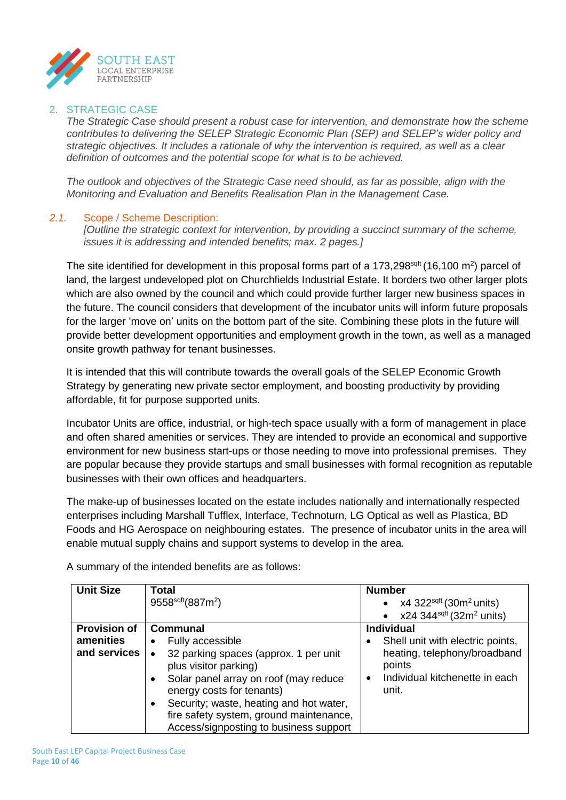

## 2. STRATEGIC CASE

*The Strategic Case should present a robust case for intervention, and demonstrate how the scheme contributes to delivering the SELEP Strategic Economic Plan (SEP) and SELEP's wider policy and strategic objectives. It includes a rationale of why the intervention is required, as well as a clear definition of outcomes and the potential scope for what is to be achieved.*

*The outlook and objectives of the Strategic Case need should, as far as possible, align with the Monitoring and Evaluation and Benefits Realisation Plan in the Management Case.*

## *2.1.* Scope / Scheme Description:

*[Outline the strategic context for intervention, by providing a succinct summary of the scheme, issues it is addressing and intended benefits; max. 2 pages.]*

The site identified for development in this proposal forms part of a 173,298<sup>sqft</sup> (16,100 m<sup>2</sup>) parcel of land, the largest undeveloped plot on Churchfields Industrial Estate. It borders two other larger plots which are also owned by the council and which could provide further larger new business spaces in the future. The council considers that development of the incubator units will inform future proposals for the larger 'move on' units on the bottom part of the site. Combining these plots in the future will provide better development opportunities and employment growth in the town, as well as a managed onsite growth pathway for tenant businesses.

It is intended that this will contribute towards the overall goals of the SELEP Economic Growth Strategy by generating new private sector employment, and boosting productivity by providing affordable, fit for purpose supported units.

Incubator Units are office, industrial, or high-tech space usually with a form of management in place and often shared amenities or services. They are intended to provide an economical and supportive environment for new business start-ups or those needing to move into professional premises. They are popular because they provide startups and small businesses with formal recognition as reputable businesses with their own offices and headquarters.

The make-up of businesses located on the estate includes nationally and internationally respected enterprises including Marshall Tufflex, Interface, Technoturn, LG Optical as well as Plastica, BD Foods and HG Aerospace on neighbouring estates. The presence of incubator units in the area will enable mutual supply chains and support systems to develop in the area.

| <b>Unit Size</b>    | Total                                                                                                                                     | <b>Number</b>                                        |
|---------------------|-------------------------------------------------------------------------------------------------------------------------------------------|------------------------------------------------------|
|                     | 9558 <sup>sqrt</sup> (887m <sup>2</sup> )                                                                                                 | x4 322 <sup>sqft</sup> (30m <sup>2</sup> units)      |
|                     |                                                                                                                                           | $x24$ 344 <sup>sqft</sup> (32m <sup>2</sup> units)   |
| <b>Provision of</b> | Communal                                                                                                                                  | <b>Individual</b>                                    |
| amenities           | Fully accessible<br>$\bullet$                                                                                                             | Shell unit with electric points,                     |
| and services        | 32 parking spaces (approx. 1 per unit<br>plus visitor parking)                                                                            | heating, telephony/broadband<br>points               |
|                     | Solar panel array on roof (may reduce<br>$\bullet$<br>energy costs for tenants)                                                           | Individual kitchenette in each<br>$\bullet$<br>unit. |
|                     | Security; waste, heating and hot water,<br>$\bullet$<br>fire safety system, ground maintenance,<br>Access/signposting to business support |                                                      |

A summary of the intended benefits are as follows: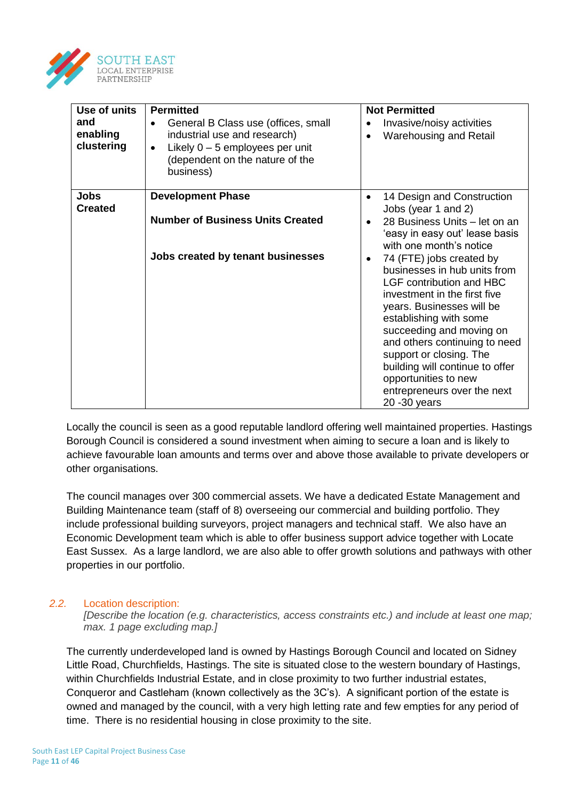

| Use of units<br>and<br>enabling<br>clustering | <b>Permitted</b><br>General B Class use (offices, small<br>$\bullet$<br>industrial use and research)<br>Likely $0 - 5$ employees per unit<br>$\bullet$<br>(dependent on the nature of the<br>business) | <b>Not Permitted</b><br>Invasive/noisy activities<br>$\bullet$<br><b>Warehousing and Retail</b><br>$\bullet$                                                                                                                                                                                                                                                                          |
|-----------------------------------------------|--------------------------------------------------------------------------------------------------------------------------------------------------------------------------------------------------------|---------------------------------------------------------------------------------------------------------------------------------------------------------------------------------------------------------------------------------------------------------------------------------------------------------------------------------------------------------------------------------------|
| <b>Jobs</b><br><b>Created</b>                 | <b>Development Phase</b><br><b>Number of Business Units Created</b>                                                                                                                                    | 14 Design and Construction<br>$\bullet$<br>Jobs (year 1 and 2)<br>28 Business Units - let on an<br>'easy in easy out' lease basis<br>with one month's notice                                                                                                                                                                                                                          |
|                                               | Jobs created by tenant businesses                                                                                                                                                                      | 74 (FTE) jobs created by<br>businesses in hub units from<br><b>LGF contribution and HBC</b><br>investment in the first five<br>years. Businesses will be<br>establishing with some<br>succeeding and moving on<br>and others continuing to need<br>support or closing. The<br>building will continue to offer<br>opportunities to new<br>entrepreneurs over the next<br>20 - 30 years |

Locally the council is seen as a good reputable landlord offering well maintained properties. Hastings Borough Council is considered a sound investment when aiming to secure a loan and is likely to achieve favourable loan amounts and terms over and above those available to private developers or other organisations.

The council manages over 300 commercial assets. We have a dedicated Estate Management and Building Maintenance team (staff of 8) overseeing our commercial and building portfolio. They include professional building surveyors, project managers and technical staff. We also have an Economic Development team which is able to offer business support advice together with Locate East Sussex. As a large landlord, we are also able to offer growth solutions and pathways with other properties in our portfolio.

## *2.2.* Location description:

*[Describe the location (e.g. characteristics, access constraints etc.) and include at least one map; max. 1 page excluding map.]*

The currently underdeveloped land is owned by Hastings Borough Council and located on Sidney Little Road, Churchfields, Hastings. The site is situated close to the western boundary of Hastings, within Churchfields Industrial Estate, and in close proximity to two further industrial estates, Conqueror and Castleham (known collectively as the 3C's). A significant portion of the estate is owned and managed by the council, with a very high letting rate and few empties for any period of time. There is no residential housing in close proximity to the site.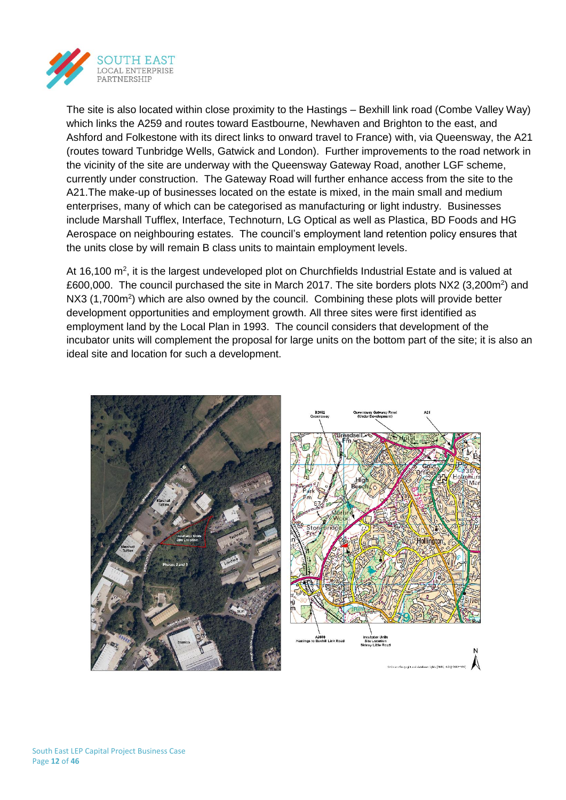

The site is also located within close proximity to the Hastings – Bexhill link road (Combe Valley Way) which links the A259 and routes toward Eastbourne, Newhaven and Brighton to the east, and Ashford and Folkestone with its direct links to onward travel to France) with, via Queensway, the A21 (routes toward Tunbridge Wells, Gatwick and London). Further improvements to the road network in the vicinity of the site are underway with the Queensway Gateway Road, another LGF scheme, currently under construction. The Gateway Road will further enhance access from the site to the A21.The make-up of businesses located on the estate is mixed, in the main small and medium enterprises, many of which can be categorised as manufacturing or light industry. Businesses include Marshall Tufflex, Interface, Technoturn, LG Optical as well as Plastica, BD Foods and HG Aerospace on neighbouring estates. The council's employment land retention policy ensures that the units close by will remain B class units to maintain employment levels.

At 16,100  $\text{m}^2$ , it is the largest undeveloped plot on Churchfields Industrial Estate and is valued at £600,000. The council purchased the site in March 2017. The site borders plots NX2 (3,200m<sup>2</sup>) and NX3 (1,700m<sup>2</sup>) which are also owned by the council. Combining these plots will provide better development opportunities and employment growth. All three sites were first identified as employment land by the Local Plan in 1993. The council considers that development of the incubator units will complement the proposal for large units on the bottom part of the site; it is also an ideal site and location for such a development.

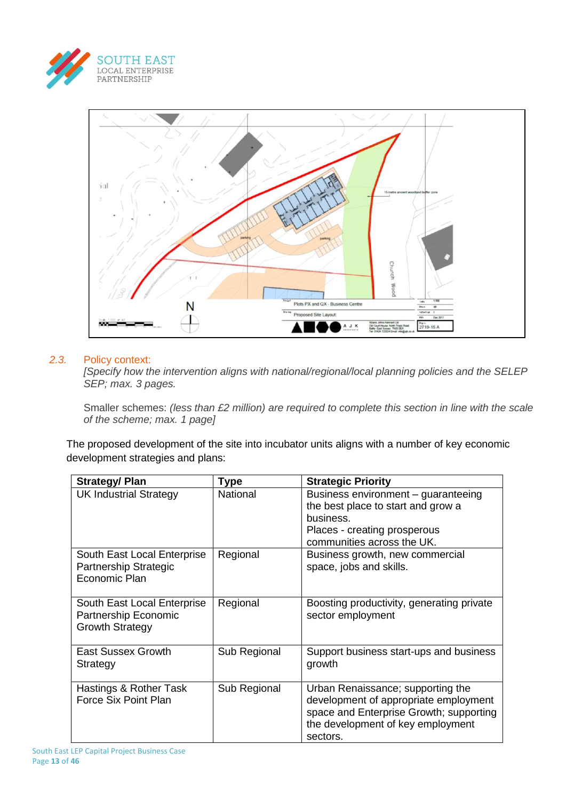



## *2.3.* Policy context:

*[Specify how the intervention aligns with national/regional/local planning policies and the SELEP SEP; max. 3 pages.*

Smaller schemes: *(less than £2 million) are required to complete this section in line with the scale of the scheme; max. 1 page]* 

The proposed development of the site into incubator units aligns with a number of key economic development strategies and plans:

| <b>Strategy/ Plan</b>                                                         | Type            | <b>Strategic Priority</b>                                                                                                                                              |
|-------------------------------------------------------------------------------|-----------------|------------------------------------------------------------------------------------------------------------------------------------------------------------------------|
| <b>UK Industrial Strategy</b>                                                 | <b>National</b> | Business environment – guaranteeing<br>the best place to start and grow a<br>business.<br>Places - creating prosperous<br>communities across the UK.                   |
| South East Local Enterprise<br>Partnership Strategic<br>Economic Plan         | Regional        | Business growth, new commercial<br>space, jobs and skills.                                                                                                             |
| South East Local Enterprise<br>Partnership Economic<br><b>Growth Strategy</b> | Regional        | Boosting productivity, generating private<br>sector employment                                                                                                         |
| <b>East Sussex Growth</b><br>Strategy                                         | Sub Regional    | Support business start-ups and business<br>growth                                                                                                                      |
| Hastings & Rother Task<br>Force Six Point Plan                                | Sub Regional    | Urban Renaissance; supporting the<br>development of appropriate employment<br>space and Enterprise Growth; supporting<br>the development of key employment<br>sectors. |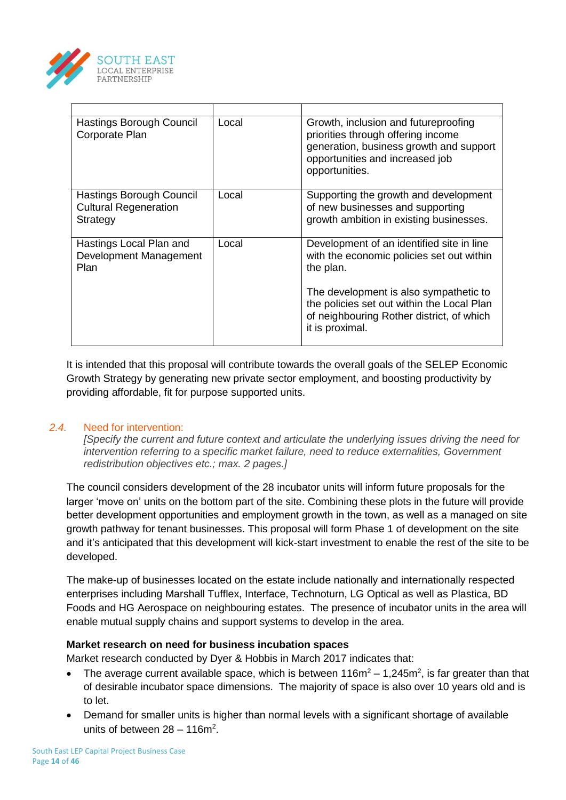

| Hastings Borough Council<br>Corporate Plan                           | Local | Growth, inclusion and futureproofing<br>priorities through offering income<br>generation, business growth and support<br>opportunities and increased job<br>opportunities. |
|----------------------------------------------------------------------|-------|----------------------------------------------------------------------------------------------------------------------------------------------------------------------------|
| Hastings Borough Council<br><b>Cultural Regeneration</b><br>Strategy | Local | Supporting the growth and development<br>of new businesses and supporting<br>growth ambition in existing businesses.                                                       |
| Hastings Local Plan and<br>Development Management<br>Plan            | Local | Development of an identified site in line<br>with the economic policies set out within<br>the plan.                                                                        |
|                                                                      |       | The development is also sympathetic to<br>the policies set out within the Local Plan<br>of neighbouring Rother district, of which<br>it is proximal.                       |

It is intended that this proposal will contribute towards the overall goals of the SELEP Economic Growth Strategy by generating new private sector employment, and boosting productivity by providing affordable, fit for purpose supported units.

## *2.4.* Need for intervention:

*[Specify the current and future context and articulate the underlying issues driving the need for intervention referring to a specific market failure, need to reduce externalities, Government redistribution objectives etc.; max. 2 pages.]*

The council considers development of the 28 incubator units will inform future proposals for the larger 'move on' units on the bottom part of the site. Combining these plots in the future will provide better development opportunities and employment growth in the town, as well as a managed on site growth pathway for tenant businesses. This proposal will form Phase 1 of development on the site and it's anticipated that this development will kick-start investment to enable the rest of the site to be developed.

The make-up of businesses located on the estate include nationally and internationally respected enterprises including Marshall Tufflex, Interface, Technoturn, LG Optical as well as Plastica, BD Foods and HG Aerospace on neighbouring estates. The presence of incubator units in the area will enable mutual supply chains and support systems to develop in the area.

## **Market research on need for business incubation spaces**

Market research conducted by Dyer & Hobbis in March 2017 indicates that:

- The average current available space, which is between  $116m^2 1,245m^2$ , is far greater than that of desirable incubator space dimensions. The majority of space is also over 10 years old and is to let.
- Demand for smaller units is higher than normal levels with a significant shortage of available units of between  $28 - 116m^2$ .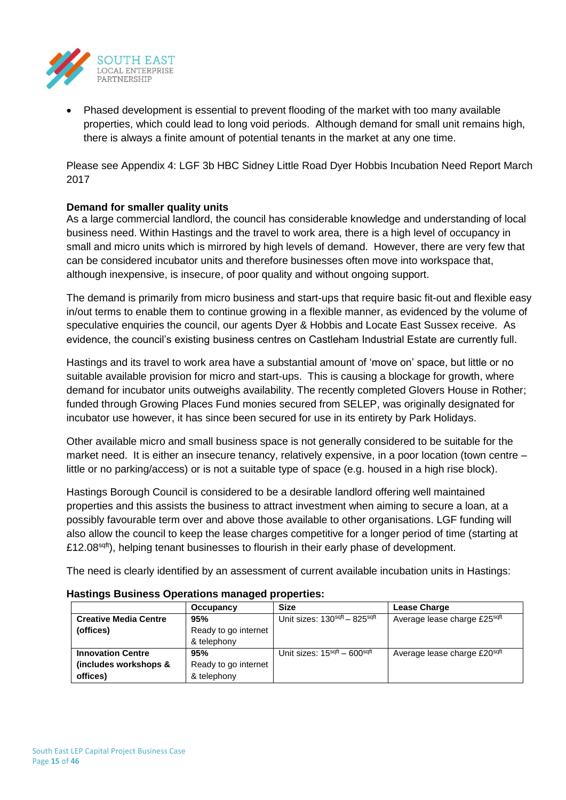

• Phased development is essential to prevent flooding of the market with too many available properties, which could lead to long void periods. Although demand for small unit remains high, there is always a finite amount of potential tenants in the market at any one time.

Please see Appendix 4: LGF 3b HBC Sidney Little Road Dyer Hobbis Incubation Need Report March 2017

# **Demand for smaller quality units**

As a large commercial landlord, the council has considerable knowledge and understanding of local business need. Within Hastings and the travel to work area, there is a high level of occupancy in small and micro units which is mirrored by high levels of demand. However, there are very few that can be considered incubator units and therefore businesses often move into workspace that, although inexpensive, is insecure, of poor quality and without ongoing support.

The demand is primarily from micro business and start-ups that require basic fit-out and flexible easy in/out terms to enable them to continue growing in a flexible manner, as evidenced by the volume of speculative enquiries the council, our agents Dyer & Hobbis and Locate East Sussex receive. As evidence, the council's existing business centres on Castleham Industrial Estate are currently full.

Hastings and its travel to work area have a substantial amount of 'move on' space, but little or no suitable available provision for micro and start-ups. This is causing a blockage for growth, where demand for incubator units outweighs availability. The recently completed Glovers House in Rother; funded through Growing Places Fund monies secured from SELEP, was originally designated for incubator use however, it has since been secured for use in its entirety by Park Holidays.

Other available micro and small business space is not generally considered to be suitable for the market need. It is either an insecure tenancy, relatively expensive, in a poor location (town centre – little or no parking/access) or is not a suitable type of space (e.g. housed in a high rise block).

Hastings Borough Council is considered to be a desirable landlord offering well maintained properties and this assists the business to attract investment when aiming to secure a loan, at a possibly favourable term over and above those available to other organisations. LGF funding will also allow the council to keep the lease charges competitive for a longer period of time (starting at £12.08 $s$ <sup>qtt</sup>), helping tenant businesses to flourish in their early phase of development.

The need is clearly identified by an assessment of current available incubation units in Hastings:

| Occupancy                           |                      | <b>Size</b>                                          | <b>Lease Charge</b>          |
|-------------------------------------|----------------------|------------------------------------------------------|------------------------------|
| <b>Creative Media Centre</b><br>95% |                      | Unit sizes: 130sqft - 825sqft                        | Average lease charge £25sqft |
| (offices)<br>Ready to go internet   |                      |                                                      |                              |
| & telephony                         |                      |                                                      |                              |
| <b>Innovation Centre</b>            | 95%                  | Unit sizes: 15 <sup>sqft</sup> - 600 <sup>sqft</sup> | Average lease charge £20sqft |
| (includes workshops &               | Ready to go internet |                                                      |                              |
| offices)<br>& telephony             |                      |                                                      |                              |

## **Hastings Business Operations managed properties:**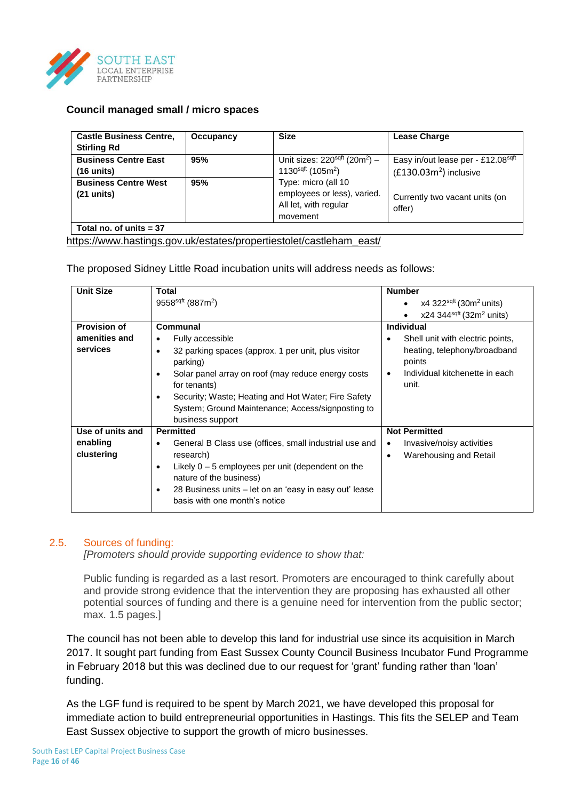

## **Council managed small / micro spaces**

| <b>Castle Business Centre,</b><br><b>Stirling Rd</b> | Occupancy | <b>Size</b>                                                                             | <b>Lease Charge</b>                                           |
|------------------------------------------------------|-----------|-----------------------------------------------------------------------------------------|---------------------------------------------------------------|
| <b>Business Centre East</b><br>$(16$ units)          | 95%       | Unit sizes: $220sqft$ (20m <sup>2</sup> ) –<br>1130sqft (105m <sup>2</sup> )            | Easy in/out lease per - £12.08sqft<br>$(E130.03m2)$ inclusive |
| <b>Business Centre West</b><br>$(21$ units)          | 95%       | Type: micro (all 10<br>employees or less), varied.<br>All let, with regular<br>movement | Currently two vacant units (on<br>offer)                      |
| Total no. of units $= 37$                            |           |                                                                                         |                                                               |

### [https://www.hastings.gov.uk/estates/propertiestolet/castleham\\_east/](https://www.hastings.gov.uk/estates/propertiestolet/castleham_east/)

The proposed Sidney Little Road incubation units will address needs as follows:

| <b>Unit Size</b>    | Total                                                               | <b>Number</b>                                                   |
|---------------------|---------------------------------------------------------------------|-----------------------------------------------------------------|
|                     | 9558 <sup>sqft</sup> (887m <sup>2</sup> )                           | x4 322 $^{sqft}$ (30m <sup>2</sup> units)                       |
|                     |                                                                     | $x24$ 344sq <sup>ft</sup> (32m <sup>2</sup> units)<br>$\bullet$ |
| <b>Provision of</b> | Communal                                                            | Individual                                                      |
| amenities and       | Fully accessible<br>$\bullet$                                       | Shell unit with electric points,<br>٠                           |
| services            | 32 parking spaces (approx. 1 per unit, plus visitor<br>٠            | heating, telephony/broadband                                    |
|                     | parking)                                                            | points                                                          |
|                     | Solar panel array on roof (may reduce energy costs<br>٠             | Individual kitchenette in each<br>٠                             |
|                     | for tenants)                                                        | unit.                                                           |
|                     | Security; Waste; Heating and Hot Water; Fire Safety<br>٠            |                                                                 |
|                     | System; Ground Maintenance; Access/signposting to                   |                                                                 |
|                     | business support                                                    |                                                                 |
| Use of units and    | <b>Permitted</b>                                                    | <b>Not Permitted</b>                                            |
| enabling            | General B Class use (offices, small industrial use and<br>٠         | Invasive/noisy activities<br>$\bullet$                          |
| clustering          | research)                                                           | Warehousing and Retail<br>٠                                     |
|                     | Likely $0 - 5$ employees per unit (dependent on the<br>٠            |                                                                 |
|                     | nature of the business)                                             |                                                                 |
|                     | 28 Business units - let on an 'easy in easy out' lease<br>$\bullet$ |                                                                 |
|                     | basis with one month's notice                                       |                                                                 |

## 2.5. Sources of funding:

*[Promoters should provide supporting evidence to show that:*

Public funding is regarded as a last resort. Promoters are encouraged to think carefully about and provide strong evidence that the intervention they are proposing has exhausted all other potential sources of funding and there is a genuine need for intervention from the public sector; max. 1.5 pages.]

The council has not been able to develop this land for industrial use since its acquisition in March 2017. It sought part funding from East Sussex County Council Business Incubator Fund Programme in February 2018 but this was declined due to our request for 'grant' funding rather than 'loan' funding.

As the LGF fund is required to be spent by March 2021, we have developed this proposal for immediate action to build entrepreneurial opportunities in Hastings. This fits the SELEP and Team East Sussex objective to support the growth of micro businesses.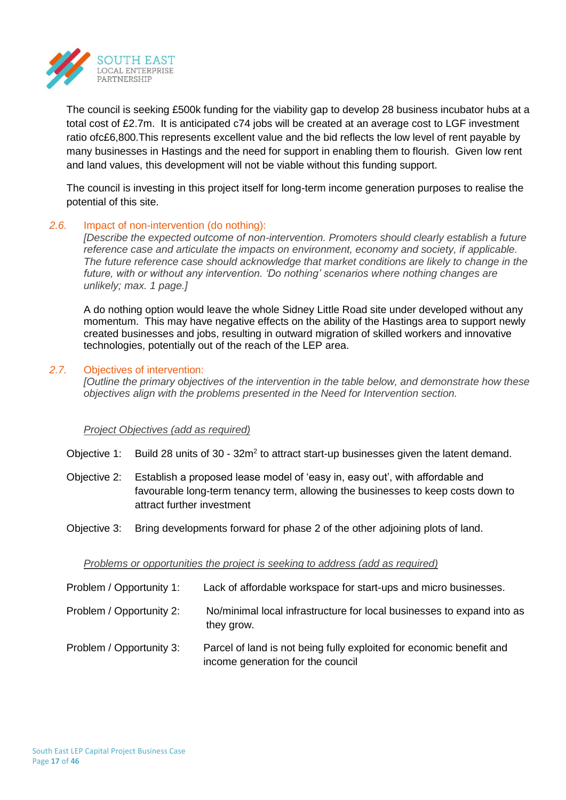

The council is seeking £500k funding for the viability gap to develop 28 business incubator hubs at a total cost of £2.7m. It is anticipated c74 jobs will be created at an average cost to LGF investment ratio ofc£6,800.This represents excellent value and the bid reflects the low level of rent payable by many businesses in Hastings and the need for support in enabling them to flourish. Given low rent and land values, this development will not be viable without this funding support.

The council is investing in this project itself for long-term income generation purposes to realise the potential of this site.

### *2.6.* Impact of non-intervention (do nothing):

*[Describe the expected outcome of non-intervention. Promoters should clearly establish a future reference case and articulate the impacts on environment, economy and society, if applicable. The future reference case should acknowledge that market conditions are likely to change in the future, with or without any intervention. 'Do nothing' scenarios where nothing changes are unlikely; max. 1 page.]*

A do nothing option would leave the whole Sidney Little Road site under developed without any momentum. This may have negative effects on the ability of the Hastings area to support newly created businesses and jobs, resulting in outward migration of skilled workers and innovative technologies, potentially out of the reach of the LEP area.

### *2.7.* Objectives of intervention:

*[Outline the primary objectives of the intervention in the table below, and demonstrate how these objectives align with the problems presented in the Need for Intervention section.*

#### *Project Objectives (add as required)*

Objective 1: Build 28 units of  $30 - 32m^2$  to attract start-up businesses given the latent demand.

- Objective 2: Establish a proposed lease model of 'easy in, easy out', with affordable and favourable long-term tenancy term, allowing the businesses to keep costs down to attract further investment
- Objective 3: Bring developments forward for phase 2 of the other adjoining plots of land.

#### *Problems or opportunities the project is seeking to address (add as required)*

| Problem / Opportunity 1: | Lack of affordable workspace for start-ups and micro businesses.                                          |
|--------------------------|-----------------------------------------------------------------------------------------------------------|
| Problem / Opportunity 2: | No/minimal local infrastructure for local businesses to expand into as<br>they grow.                      |
| Problem / Opportunity 3: | Parcel of land is not being fully exploited for economic benefit and<br>income generation for the council |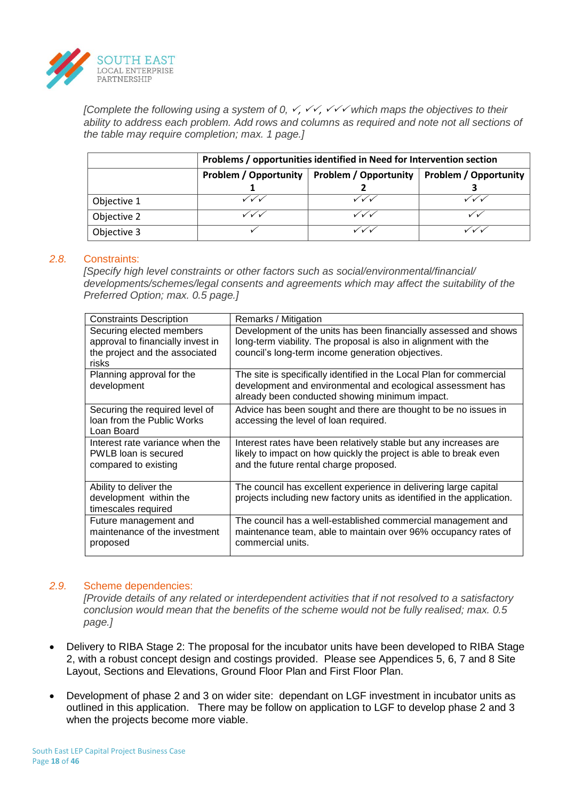

*[Complete the following using a system of 0,*  $\checkmark$ *,*  $\checkmark\checkmark$ *,*  $\checkmark\checkmark$  *which maps the objectives to their in ability to address each problem. Add rows and columns as required and note not all sections of the table may require completion; max. 1 page.]*

|             | Problems / opportunities identified in Need for Intervention section                         |       |  |  |
|-------------|----------------------------------------------------------------------------------------------|-------|--|--|
|             | <b>Problem / Opportunity</b><br><b>Problem / Opportunity</b><br><b>Problem / Opportunity</b> |       |  |  |
|             |                                                                                              |       |  |  |
| Objective 1 | ╱✓✓                                                                                          | / v/v |  |  |
| Objective 2 | ∕ √ v                                                                                        | ノイマ   |  |  |
| Objective 3 |                                                                                              |       |  |  |

#### *2.8.* Constraints:

*[Specify high level constraints or other factors such as social/environmental/financial/ developments/schemes/legal consents and agreements which may affect the suitability of the Preferred Option; max. 0.5 page.]*

| <b>Constraints Description</b>                                                                           | Remarks / Mitigation                                                                                                                                                                     |
|----------------------------------------------------------------------------------------------------------|------------------------------------------------------------------------------------------------------------------------------------------------------------------------------------------|
| Securing elected members<br>approval to financially invest in<br>the project and the associated<br>risks | Development of the units has been financially assessed and shows<br>long-term viability. The proposal is also in alignment with the<br>council's long-term income generation objectives. |
| Planning approval for the<br>development                                                                 | The site is specifically identified in the Local Plan for commercial<br>development and environmental and ecological assessment has<br>already been conducted showing minimum impact.    |
| Securing the required level of<br>loan from the Public Works<br>Loan Board                               | Advice has been sought and there are thought to be no issues in<br>accessing the level of loan required.                                                                                 |
| Interest rate variance when the<br>PWLB loan is secured<br>compared to existing                          | Interest rates have been relatively stable but any increases are<br>likely to impact on how quickly the project is able to break even<br>and the future rental charge proposed.          |
| Ability to deliver the<br>development within the<br>timescales required                                  | The council has excellent experience in delivering large capital<br>projects including new factory units as identified in the application.                                               |
| Future management and<br>maintenance of the investment<br>proposed                                       | The council has a well-established commercial management and<br>maintenance team, able to maintain over 96% occupancy rates of<br>commercial units.                                      |

#### *2.9.* Scheme dependencies:

*[Provide details of any related or interdependent activities that if not resolved to a satisfactory conclusion would mean that the benefits of the scheme would not be fully realised; max. 0.5 page.]*

- Delivery to RIBA Stage 2: The proposal for the incubator units have been developed to RIBA Stage 2, with a robust concept design and costings provided. Please see Appendices 5, 6, 7 and 8 Site Layout, Sections and Elevations, Ground Floor Plan and First Floor Plan.
- Development of phase 2 and 3 on wider site: dependant on LGF investment in incubator units as outlined in this application. There may be follow on application to LGF to develop phase 2 and 3 when the projects become more viable.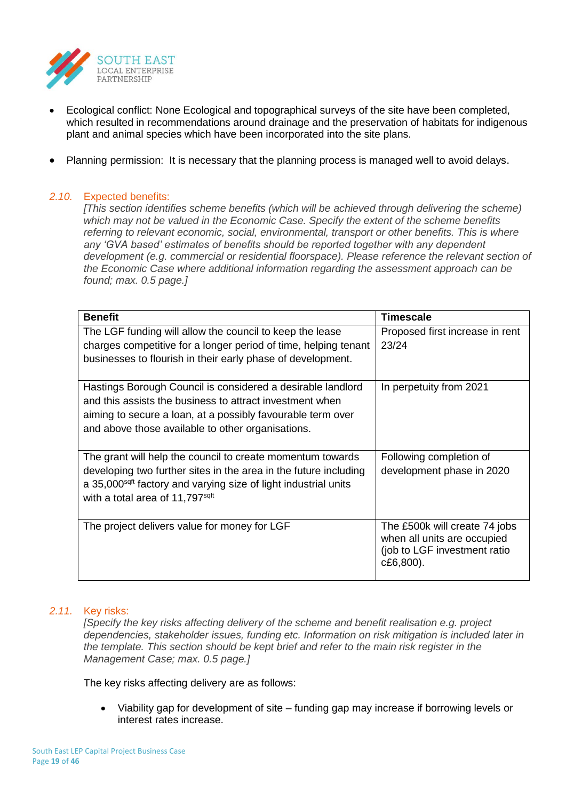

- Ecological conflict: None Ecological and topographical surveys of the site have been completed, which resulted in recommendations around drainage and the preservation of habitats for indigenous plant and animal species which have been incorporated into the site plans.
- Planning permission: It is necessary that the planning process is managed well to avoid delays.

## *2.10.* Expected benefits:

*[This section identifies scheme benefits (which will be achieved through delivering the scheme) which may not be valued in the Economic Case. Specify the extent of the scheme benefits referring to relevant economic, social, environmental, transport or other benefits. This is where any 'GVA based' estimates of benefits should be reported together with any dependent*  development (e.g. commercial or residential floorspace). Please reference the relevant section of *the Economic Case where additional information regarding the assessment approach can be found; max. 0.5 page.]*

| <b>Benefit</b>                                                                                                                                                                                                                              | <b>Timescale</b>                                                                                          |
|---------------------------------------------------------------------------------------------------------------------------------------------------------------------------------------------------------------------------------------------|-----------------------------------------------------------------------------------------------------------|
| The LGF funding will allow the council to keep the lease                                                                                                                                                                                    | Proposed first increase in rent                                                                           |
| charges competitive for a longer period of time, helping tenant                                                                                                                                                                             | 23/24                                                                                                     |
| businesses to flourish in their early phase of development.                                                                                                                                                                                 |                                                                                                           |
| Hastings Borough Council is considered a desirable landlord<br>and this assists the business to attract investment when<br>aiming to secure a loan, at a possibly favourable term over<br>and above those available to other organisations. | In perpetuity from 2021                                                                                   |
| The grant will help the council to create momentum towards                                                                                                                                                                                  | Following completion of                                                                                   |
| developing two further sites in the area in the future including<br>a 35,000 <sup>sqft</sup> factory and varying size of light industrial units<br>with a total area of 11,797 <sup>sqft</sup>                                              | development phase in 2020                                                                                 |
| The project delivers value for money for LGF                                                                                                                                                                                                | The £500k will create 74 jobs<br>when all units are occupied<br>(job to LGF investment ratio<br>c£6,800). |

#### *2.11.* Key risks:

*[Specify the key risks affecting delivery of the scheme and benefit realisation e.g. project dependencies, stakeholder issues, funding etc. Information on risk mitigation is included later in the template. This section should be kept brief and refer to the main risk register in the Management Case; max. 0.5 page.]*

The key risks affecting delivery are as follows:

• Viability gap for development of site – funding gap may increase if borrowing levels or interest rates increase.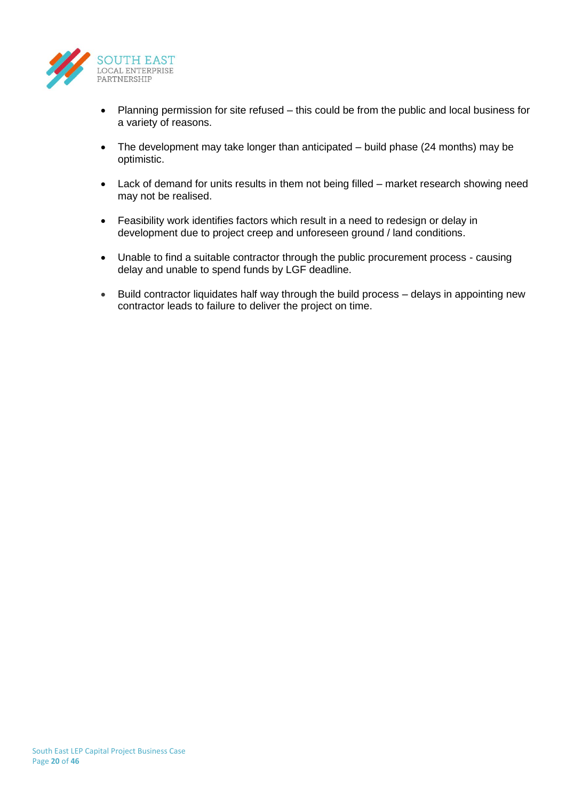

- Planning permission for site refused this could be from the public and local business for a variety of reasons.
- The development may take longer than anticipated build phase (24 months) may be optimistic.
- Lack of demand for units results in them not being filled market research showing need may not be realised.
- Feasibility work identifies factors which result in a need to redesign or delay in development due to project creep and unforeseen ground / land conditions.
- Unable to find a suitable contractor through the public procurement process causing delay and unable to spend funds by LGF deadline.
- Build contractor liquidates half way through the build process delays in appointing new contractor leads to failure to deliver the project on time.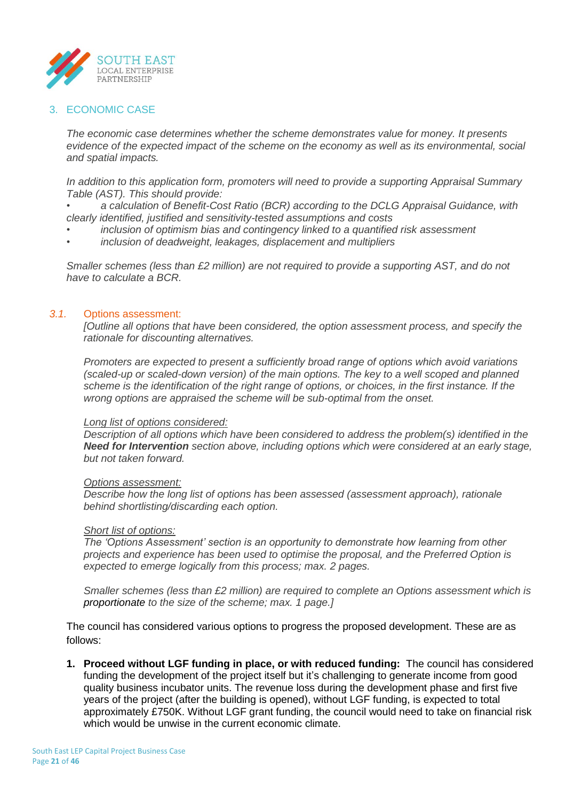

## 3. ECONOMIC CASE

*The economic case determines whether the scheme demonstrates value for money. It presents evidence of the expected impact of the scheme on the economy as well as its environmental, social and spatial impacts.* 

*In addition to this application form, promoters will need to provide a supporting Appraisal Summary Table (AST). This should provide:*

*• a calculation of Benefit-Cost Ratio (BCR) according to the DCLG Appraisal Guidance, with clearly identified, justified and sensitivity-tested assumptions and costs*

- *• inclusion of optimism bias and contingency linked to a quantified risk assessment*
- *• inclusion of deadweight, leakages, displacement and multipliers*

*Smaller schemes (less than £2 million) are not required to provide a supporting AST, and do not have to calculate a BCR.*

### *3.1.* Options assessment:

*[Outline all options that have been considered, the option assessment process, and specify the rationale for discounting alternatives.*

*Promoters are expected to present a sufficiently broad range of options which avoid variations (scaled-up or scaled-down version) of the main options. The key to a well scoped and planned scheme is the identification of the right range of options, or choices, in the first instance. If the wrong options are appraised the scheme will be sub-optimal from the onset.*

#### *Long list of options considered:*

*Description of all options which have been considered to address the problem(s) identified in the Need for Intervention section above, including options which were considered at an early stage, but not taken forward.*

#### *Options assessment:*

*Describe how the long list of options has been assessed (assessment approach), rationale behind shortlisting/discarding each option.*

#### *Short list of options:*

*The 'Options Assessment' section is an opportunity to demonstrate how learning from other projects and experience has been used to optimise the proposal, and the Preferred Option is expected to emerge logically from this process; max. 2 pages.*

*Smaller schemes (less than £2 million) are required to complete an Options assessment which is proportionate to the size of the scheme; max. 1 page.]*

The council has considered various options to progress the proposed development. These are as follows:

**1. Proceed without LGF funding in place, or with reduced funding:** The council has considered funding the development of the project itself but it's challenging to generate income from good quality business incubator units. The revenue loss during the development phase and first five years of the project (after the building is opened), without LGF funding, is expected to total approximately £750K. Without LGF grant funding, the council would need to take on financial risk which would be unwise in the current economic climate.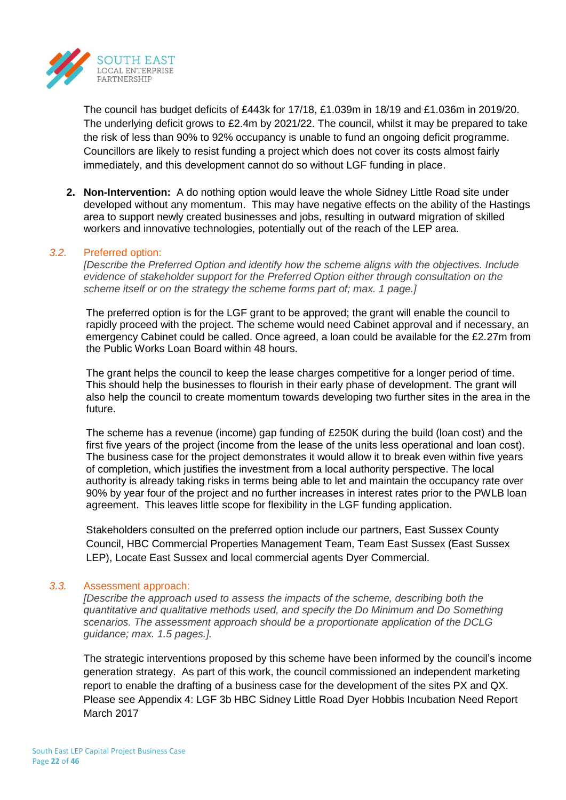

The council has budget deficits of £443k for 17/18, £1.039m in 18/19 and £1.036m in 2019/20. The underlying deficit grows to £2.4m by 2021/22. The council, whilst it may be prepared to take the risk of less than 90% to 92% occupancy is unable to fund an ongoing deficit programme. Councillors are likely to resist funding a project which does not cover its costs almost fairly immediately, and this development cannot do so without LGF funding in place.

**2. Non-Intervention:** A do nothing option would leave the whole Sidney Little Road site under developed without any momentum. This may have negative effects on the ability of the Hastings area to support newly created businesses and jobs, resulting in outward migration of skilled workers and innovative technologies, potentially out of the reach of the LEP area.

### *3.2.* Preferred option:

*[Describe the Preferred Option and identify how the scheme aligns with the objectives. Include evidence of stakeholder support for the Preferred Option either through consultation on the scheme itself or on the strategy the scheme forms part of; max. 1 page.]*

The preferred option is for the LGF grant to be approved; the grant will enable the council to rapidly proceed with the project. The scheme would need Cabinet approval and if necessary, an emergency Cabinet could be called. Once agreed, a loan could be available for the £2.27m from the Public Works Loan Board within 48 hours.

The grant helps the council to keep the lease charges competitive for a longer period of time. This should help the businesses to flourish in their early phase of development. The grant will also help the council to create momentum towards developing two further sites in the area in the future.

The scheme has a revenue (income) gap funding of £250K during the build (loan cost) and the first five years of the project (income from the lease of the units less operational and loan cost). The business case for the project demonstrates it would allow it to break even within five years of completion, which justifies the investment from a local authority perspective. The local authority is already taking risks in terms being able to let and maintain the occupancy rate over 90% by year four of the project and no further increases in interest rates prior to the PWLB loan agreement. This leaves little scope for flexibility in the LGF funding application.

Stakeholders consulted on the preferred option include our partners, East Sussex County Council, HBC Commercial Properties Management Team, Team East Sussex (East Sussex LEP), Locate East Sussex and local commercial agents Dyer Commercial.

#### *3.3.* Assessment approach:

*[Describe the approach used to assess the impacts of the scheme, describing both the quantitative and qualitative methods used, and specify the Do Minimum and Do Something scenarios. The assessment approach should be a proportionate application of the DCLG guidance; max. 1.5 pages.].*

The strategic interventions proposed by this scheme have been informed by the council's income generation strategy. As part of this work, the council commissioned an independent marketing report to enable the drafting of a business case for the development of the sites PX and QX. Please see Appendix 4: LGF 3b HBC Sidney Little Road Dyer Hobbis Incubation Need Report March 2017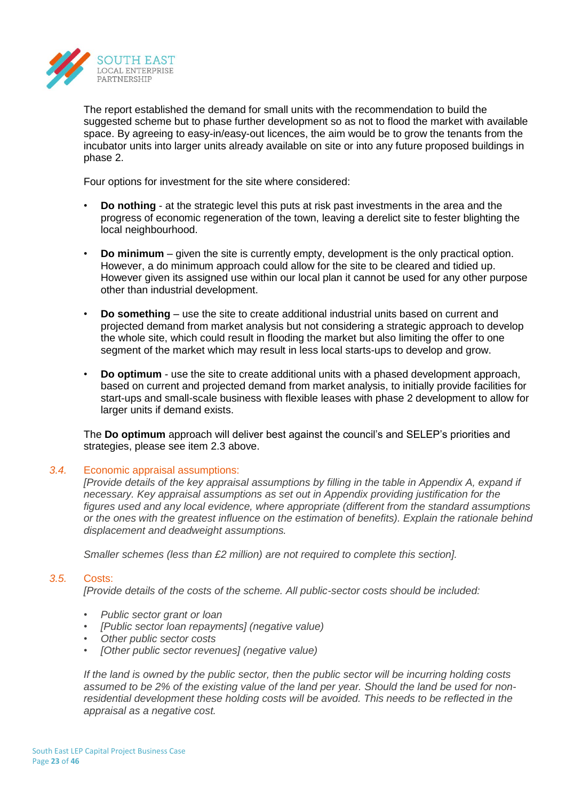

The report established the demand for small units with the recommendation to build the suggested scheme but to phase further development so as not to flood the market with available space. By agreeing to easy-in/easy-out licences, the aim would be to grow the tenants from the incubator units into larger units already available on site or into any future proposed buildings in phase 2.

Four options for investment for the site where considered:

- **Do nothing** at the strategic level this puts at risk past investments in the area and the progress of economic regeneration of the town, leaving a derelict site to fester blighting the local neighbourhood.
- **Do minimum** given the site is currently empty, development is the only practical option. However, a do minimum approach could allow for the site to be cleared and tidied up. However given its assigned use within our local plan it cannot be used for any other purpose other than industrial development.
- **Do something** use the site to create additional industrial units based on current and projected demand from market analysis but not considering a strategic approach to develop the whole site, which could result in flooding the market but also limiting the offer to one segment of the market which may result in less local starts-ups to develop and grow.
- **Do optimum** use the site to create additional units with a phased development approach, based on current and projected demand from market analysis, to initially provide facilities for start-ups and small-scale business with flexible leases with phase 2 development to allow for larger units if demand exists.

The **Do optimum** approach will deliver best against the council's and SELEP's priorities and strategies, please see item 2.3 above.

## *3.4.* Economic appraisal assumptions:

*[Provide details of the key appraisal assumptions by filling in the table in Appendix A, expand if necessary. Key appraisal assumptions as set out in Appendix providing justification for the figures used and any local evidence, where appropriate (different from the standard assumptions or the ones with the greatest influence on the estimation of benefits). Explain the rationale behind displacement and deadweight assumptions.*

*Smaller schemes (less than £2 million) are not required to complete this section].*

## *3.5.* Costs:

*[Provide details of the costs of the scheme. All public-sector costs should be included:*

- *• Public sector grant or loan*
- *• [Public sector loan repayments] (negative value)*
- *• Other public sector costs*
- *• [Other public sector revenues] (negative value)*

*If the land is owned by the public sector, then the public sector will be incurring holding costs assumed to be 2% of the existing value of the land per year. Should the land be used for nonresidential development these holding costs will be avoided. This needs to be reflected in the appraisal as a negative cost.*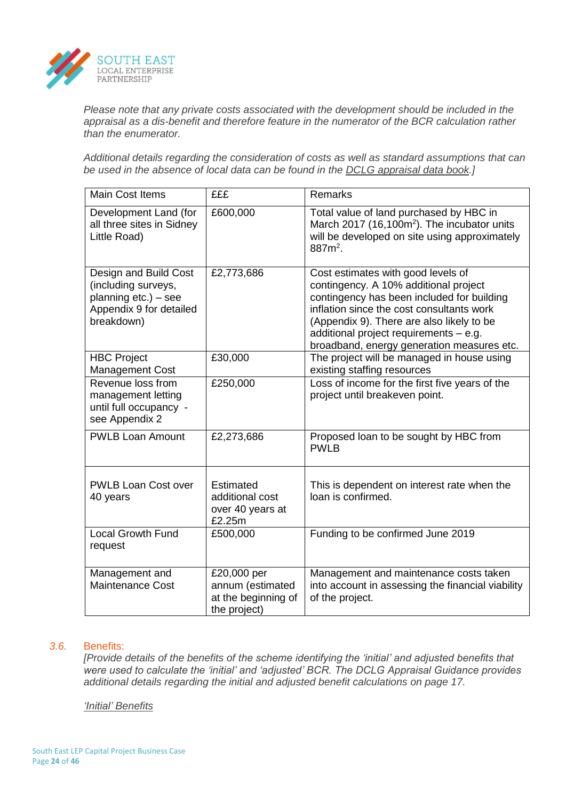

*Please note that any private costs associated with the development should be included in the appraisal as a dis-benefit and therefore feature in the numerator of the BCR calculation rather than the enumerator.* 

*Additional details regarding the consideration of costs as well as standard assumptions that can be used in the absence of local data can be found in the DCLG appraisal data book.]*

| <b>Main Cost Items</b>                                                                                           | £££                                                                    | Remarks                                                                                                                                                                                                                                                                                                     |
|------------------------------------------------------------------------------------------------------------------|------------------------------------------------------------------------|-------------------------------------------------------------------------------------------------------------------------------------------------------------------------------------------------------------------------------------------------------------------------------------------------------------|
| Development Land (for<br>all three sites in Sidney<br>Little Road)                                               | £600,000                                                               | Total value of land purchased by HBC in<br>March 2017 (16,100m <sup>2</sup> ). The incubator units<br>will be developed on site using approximately<br>887m <sup>2</sup> .                                                                                                                                  |
| Design and Build Cost<br>(including surveys,<br>planning $etc.$ ) – see<br>Appendix 9 for detailed<br>breakdown) | £2,773,686                                                             | Cost estimates with good levels of<br>contingency. A 10% additional project<br>contingency has been included for building<br>inflation since the cost consultants work<br>(Appendix 9). There are also likely to be<br>additional project requirements - e.g.<br>broadband, energy generation measures etc. |
| <b>HBC Project</b><br><b>Management Cost</b>                                                                     | £30,000                                                                | The project will be managed in house using<br>existing staffing resources                                                                                                                                                                                                                                   |
| Revenue loss from<br>management letting<br>until full occupancy -<br>see Appendix 2                              | £250,000                                                               | Loss of income for the first five years of the<br>project until breakeven point.                                                                                                                                                                                                                            |
| <b>PWLB Loan Amount</b>                                                                                          | £2,273,686                                                             | Proposed loan to be sought by HBC from<br><b>PWLB</b>                                                                                                                                                                                                                                                       |
| <b>PWLB Loan Cost over</b><br>40 years                                                                           | Estimated<br>additional cost<br>over 40 years at<br>£2.25m             | This is dependent on interest rate when the<br>loan is confirmed.                                                                                                                                                                                                                                           |
| <b>Local Growth Fund</b><br>request                                                                              | £500,000                                                               | Funding to be confirmed June 2019                                                                                                                                                                                                                                                                           |
| Management and<br><b>Maintenance Cost</b>                                                                        | £20,000 per<br>annum (estimated<br>at the beginning of<br>the project) | Management and maintenance costs taken<br>into account in assessing the financial viability<br>of the project.                                                                                                                                                                                              |

#### *3.6.* Benefits:

*[Provide details of the benefits of the scheme identifying the 'initial' and adjusted benefits that were used to calculate the 'initial' and 'adjusted' BCR. The DCLG Appraisal Guidance provides additional details regarding the initial and adjusted benefit calculations on page 17.*

#### *'Initial' Benefits*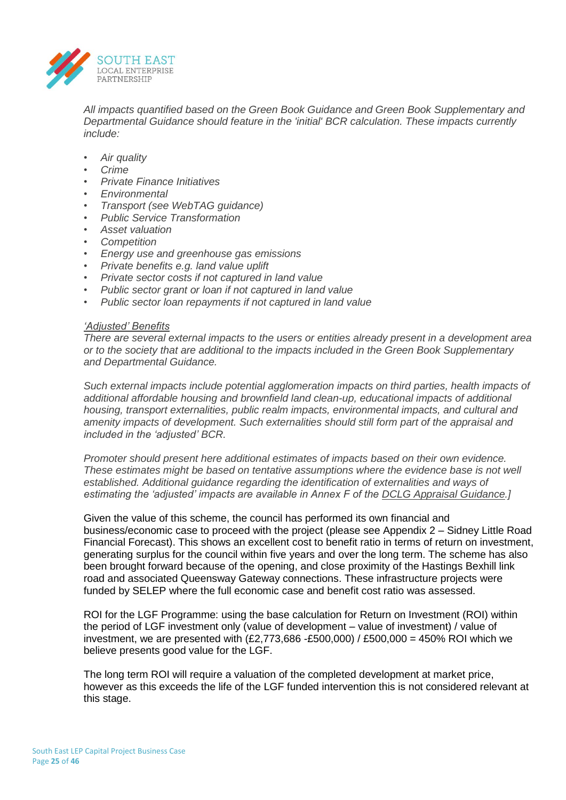

*All impacts quantified based on the Green Book Guidance and Green Book Supplementary and Departmental Guidance should feature in the 'initial' BCR calculation. These impacts currently include:*

- *• Air quality*
- *• Crime*
- *• Private Finance Initiatives*
- *• Environmental*
- *• Transport (see WebTAG guidance)*
- *• Public Service Transformation*
- *• Asset valuation*
- *• Competition*
- *• Energy use and greenhouse gas emissions*
- *• Private benefits e.g. land value uplift*
- *• Private sector costs if not captured in land value*
- *• Public sector grant or loan if not captured in land value*
- *• Public sector loan repayments if not captured in land value*

### *'Adjusted' Benefits*

*There are several external impacts to the users or entities already present in a development area or to the society that are additional to the impacts included in the Green Book Supplementary and Departmental Guidance.*

*Such external impacts include potential agglomeration impacts on third parties, health impacts of additional affordable housing and brownfield land clean-up, educational impacts of additional housing, transport externalities, public realm impacts, environmental impacts, and cultural and amenity impacts of development. Such externalities should still form part of the appraisal and included in the 'adjusted' BCR.*

*Promoter should present here additional estimates of impacts based on their own evidence. These estimates might be based on tentative assumptions where the evidence base is not well established. Additional guidance regarding the identification of externalities and ways of estimating the 'adjusted' impacts are available in Annex F of the DCLG Appraisal Guidance.]*

Given the value of this scheme, the council has performed its own financial and business/economic case to proceed with the project (please see Appendix 2 – Sidney Little Road Financial Forecast). This shows an excellent cost to benefit ratio in terms of return on investment, generating surplus for the council within five years and over the long term. The scheme has also been brought forward because of the opening, and close proximity of the Hastings Bexhill link road and associated Queensway Gateway connections. These infrastructure projects were funded by SELEP where the full economic case and benefit cost ratio was assessed.

ROI for the LGF Programme: using the base calculation for Return on Investment (ROI) within the period of LGF investment only (value of development – value of investment) / value of investment, we are presented with  $(E2,773,686 - E500,000)$  / £500,000 = 450% ROI which we believe presents good value for the LGF.

The long term ROI will require a valuation of the completed development at market price, however as this exceeds the life of the LGF funded intervention this is not considered relevant at this stage.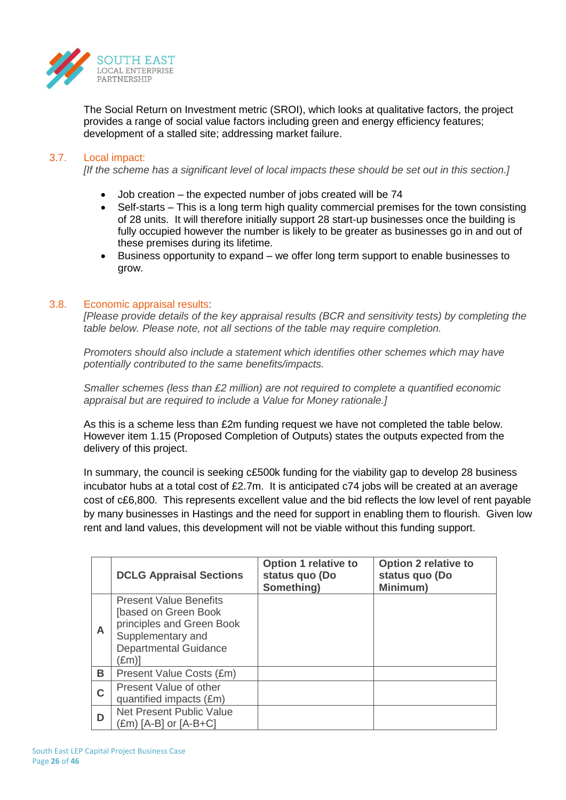

The Social Return on Investment metric (SROI), which looks at qualitative factors, the project provides a range of social value factors including green and energy efficiency features; development of a stalled site; addressing market failure.

## 3.7. Local impact:

*[If the scheme has a significant level of local impacts these should be set out in this section.]*

- Job creation the expected number of jobs created will be 74
- Self-starts This is a long term high quality commercial premises for the town consisting of 28 units. It will therefore initially support 28 start-up businesses once the building is fully occupied however the number is likely to be greater as businesses go in and out of these premises during its lifetime.
- Business opportunity to expand we offer long term support to enable businesses to grow.

#### 3.8. Economic appraisal results:

*[Please provide details of the key appraisal results (BCR and sensitivity tests) by completing the table below. Please note, not all sections of the table may require completion.*

*Promoters should also include a statement which identifies other schemes which may have potentially contributed to the same benefits/impacts.* 

*Smaller schemes (less than £2 million) are not required to complete a quantified economic appraisal but are required to include a Value for Money rationale.]*

As this is a scheme less than £2m funding request we have not completed the table below. However item 1.15 (Proposed Completion of Outputs) states the outputs expected from the delivery of this project.

In summary, the council is seeking c£500k funding for the viability gap to develop 28 business incubator hubs at a total cost of £2.7m. It is anticipated c74 jobs will be created at an average cost of c£6,800. This represents excellent value and the bid reflects the low level of rent payable by many businesses in Hastings and the need for support in enabling them to flourish. Given low rent and land values, this development will not be viable without this funding support.

|   | <b>DCLG Appraisal Sections</b>                                                                                                                   | <b>Option 1 relative to</b><br>status quo (Do<br>Something) | <b>Option 2 relative to</b><br>status quo (Do<br>Minimum) |
|---|--------------------------------------------------------------------------------------------------------------------------------------------------|-------------------------------------------------------------|-----------------------------------------------------------|
| A | <b>Present Value Benefits</b><br>[based on Green Book<br>principles and Green Book<br>Supplementary and<br><b>Departmental Guidance</b><br>(£m)] |                                                             |                                                           |
| В | Present Value Costs (£m)                                                                                                                         |                                                             |                                                           |
| C | Present Value of other<br>quantified impacts (£m)                                                                                                |                                                             |                                                           |
| D | <b>Net Present Public Value</b><br>(£m) [A-B] or [A-B+C]                                                                                         |                                                             |                                                           |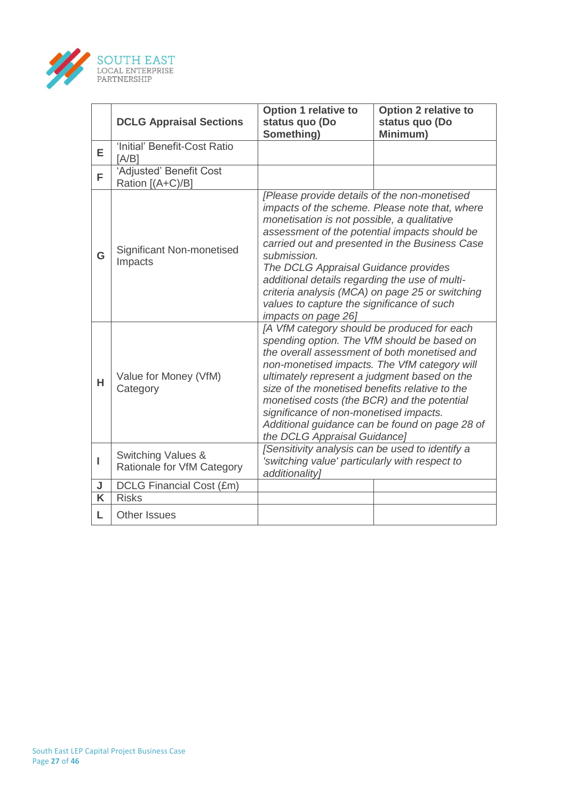

|   | <b>DCLG Appraisal Sections</b>                   | <b>Option 1 relative to</b><br>status quo (Do<br>Something)                                                                                                                                                                                                                                                                                                                                                                                                             | <b>Option 2 relative to</b><br>status quo (Do<br>Minimum)                                        |  |
|---|--------------------------------------------------|-------------------------------------------------------------------------------------------------------------------------------------------------------------------------------------------------------------------------------------------------------------------------------------------------------------------------------------------------------------------------------------------------------------------------------------------------------------------------|--------------------------------------------------------------------------------------------------|--|
| E | 'Initial' Benefit-Cost Ratio<br>[A/B]            |                                                                                                                                                                                                                                                                                                                                                                                                                                                                         |                                                                                                  |  |
| F | 'Adjusted' Benefit Cost<br>Ration [(A+C)/B]      |                                                                                                                                                                                                                                                                                                                                                                                                                                                                         |                                                                                                  |  |
| G | Significant Non-monetised<br>Impacts             | [Please provide details of the non-monetised<br>monetisation is not possible, a qualitative<br>assessment of the potential impacts should be<br>submission.<br>The DCLG Appraisal Guidance provides<br>additional details regarding the use of multi-<br>criteria analysis (MCA) on page 25 or switching<br>values to capture the significance of such<br>impacts on page 26]                                                                                           | impacts of the scheme. Please note that, where<br>carried out and presented in the Business Case |  |
| н | Value for Money (VfM)<br>Category                | [A VfM category should be produced for each<br>spending option. The VfM should be based on<br>the overall assessment of both monetised and<br>non-monetised impacts. The VfM category will<br>ultimately represent a judgment based on the<br>size of the monetised benefits relative to the<br>monetised costs (the BCR) and the potential<br>significance of non-monetised impacts.<br>Additional guidance can be found on page 28 of<br>the DCLG Appraisal Guidance] |                                                                                                  |  |
| ı | Switching Values &<br>Rationale for VfM Category | [Sensitivity analysis can be used to identify a<br>'switching value' particularly with respect to<br>additionality]                                                                                                                                                                                                                                                                                                                                                     |                                                                                                  |  |
| J | DCLG Financial Cost (£m)                         |                                                                                                                                                                                                                                                                                                                                                                                                                                                                         |                                                                                                  |  |
| K | <b>Risks</b>                                     |                                                                                                                                                                                                                                                                                                                                                                                                                                                                         |                                                                                                  |  |
| L | <b>Other Issues</b>                              |                                                                                                                                                                                                                                                                                                                                                                                                                                                                         |                                                                                                  |  |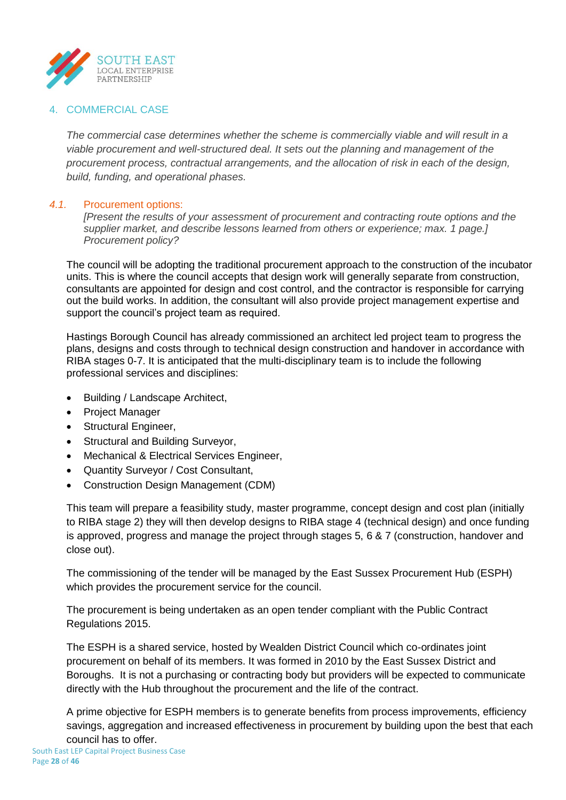

## 4. COMMERCIAL CASE

*The commercial case determines whether the scheme is commercially viable and will result in a viable procurement and well-structured deal. It sets out the planning and management of the procurement process, contractual arrangements, and the allocation of risk in each of the design, build, funding, and operational phases.*

### *4.1.* Procurement options:

*[Present the results of your assessment of procurement and contracting route options and the supplier market, and describe lessons learned from others or experience; max. 1 page.] Procurement policy?* 

The council will be adopting the traditional procurement approach to the construction of the incubator units. This is where the council accepts that design work will generally separate from construction, consultants are appointed for design and cost control, and the contractor is responsible for carrying out the build works. In addition, the consultant will also provide project management expertise and support the council's project team as required.

Hastings Borough Council has already commissioned an architect led project team to progress the plans, designs and costs through to technical design construction and handover in accordance with RIBA stages 0-7. It is anticipated that the multi-disciplinary team is to include the following professional services and disciplines:

- Building / Landscape Architect,
- Project Manager
- Structural Engineer,
- Structural and Building Surveyor,
- Mechanical & Electrical Services Engineer,
- Quantity Surveyor / Cost Consultant,
- Construction Design Management (CDM)

This team will prepare a feasibility study, master programme, concept design and cost plan (initially to RIBA stage 2) they will then develop designs to RIBA stage 4 (technical design) and once funding is approved, progress and manage the project through stages 5, 6 & 7 (construction, handover and close out).

The commissioning of the tender will be managed by the East Sussex Procurement Hub (ESPH) which provides the procurement service for the council.

The procurement is being undertaken as an open tender compliant with the Public Contract Regulations 2015.

The ESPH is a shared service, hosted by Wealden District Council which co-ordinates joint procurement on behalf of its members. It was formed in 2010 by the East Sussex District and Boroughs. It is not a purchasing or contracting body but providers will be expected to communicate directly with the Hub throughout the procurement and the life of the contract.

A prime objective for ESPH members is to generate benefits from process improvements, efficiency savings, aggregation and increased effectiveness in procurement by building upon the best that each council has to offer.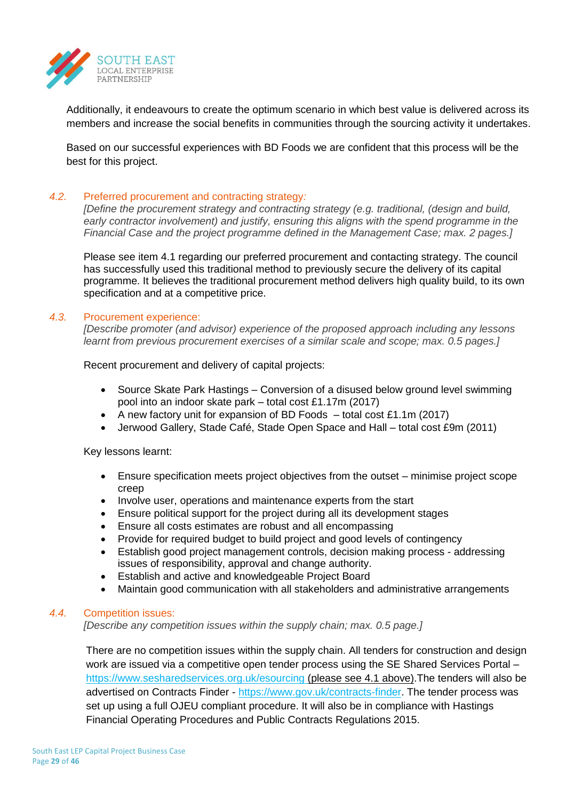

Additionally, it endeavours to create the optimum scenario in which best value is delivered across its members and increase the social benefits in communities through the sourcing activity it undertakes.

Based on our successful experiences with BD Foods we are confident that this process will be the best for this project.

### *4.2.* Preferred procurement and contracting strategy*:*

*[Define the procurement strategy and contracting strategy (e.g. traditional, (design and build, early contractor involvement) and justify, ensuring this aligns with the spend programme in the Financial Case and the project programme defined in the Management Case; max. 2 pages.]*

Please see item 4.1 regarding our preferred procurement and contacting strategy. The council has successfully used this traditional method to previously secure the delivery of its capital programme. It believes the traditional procurement method delivers high quality build, to its own specification and at a competitive price.

### *4.3.* Procurement experience:

*[Describe promoter (and advisor) experience of the proposed approach including any lessons learnt from previous procurement exercises of a similar scale and scope; max. 0.5 pages.]*

Recent procurement and delivery of capital projects:

- Source Skate Park Hastings Conversion of a disused below ground level swimming pool into an indoor skate park – total cost £1.17m (2017)
- A new factory unit for expansion of BD Foods  $-$  total cost £1.1m (2017)
- Jerwood Gallery, Stade Café, Stade Open Space and Hall total cost £9m (2011)

Key lessons learnt:

- Ensure specification meets project objectives from the outset minimise project scope creep
- Involve user, operations and maintenance experts from the start
- Ensure political support for the project during all its development stages
- Ensure all costs estimates are robust and all encompassing
- Provide for required budget to build project and good levels of contingency
- Establish good project management controls, decision making process addressing issues of responsibility, approval and change authority.
- Establish and active and knowledgeable Project Board
- Maintain good communication with all stakeholders and administrative arrangements

#### *4.4.* Competition issues:

*[Describe any competition issues within the supply chain; max. 0.5 page.]*

There are no competition issues within the supply chain. All tenders for construction and design work are issued via a competitive open tender process using the SE Shared Services Portal – <https://www.sesharedservices.org.uk/esourcing> (please see 4.1 above). The tenders will also be advertised on Contracts Finder - [https://www.gov.uk/contracts-finder.](https://www.gov.uk/contracts-finder) The tender process was set up using a full OJEU compliant procedure. It will also be in compliance with Hastings Financial Operating Procedures and Public Contracts Regulations 2015.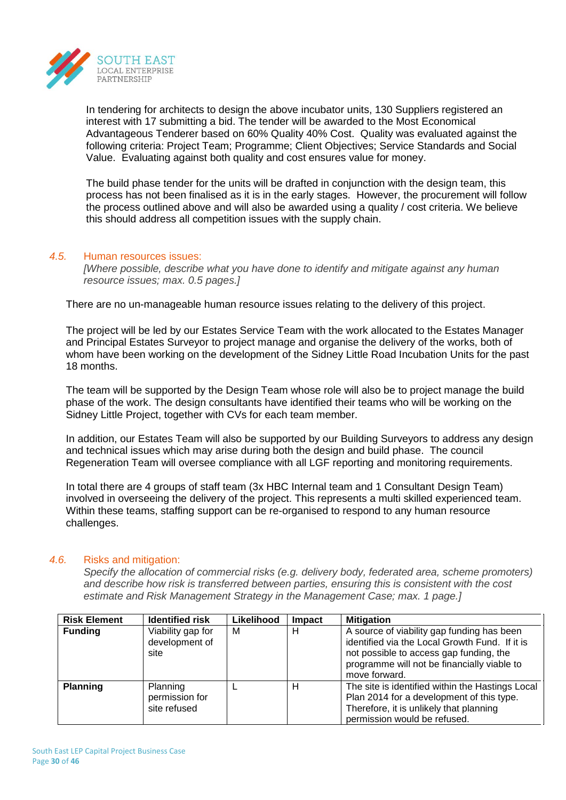

In tendering for architects to design the above incubator units, 130 Suppliers registered an interest with 17 submitting a bid. The tender will be awarded to the Most Economical Advantageous Tenderer based on 60% Quality 40% Cost. Quality was evaluated against the following criteria: Project Team; Programme; Client Objectives; Service Standards and Social Value. Evaluating against both quality and cost ensures value for money.

The build phase tender for the units will be drafted in conjunction with the design team, this process has not been finalised as it is in the early stages. However, the procurement will follow the process outlined above and will also be awarded using a quality / cost criteria. We believe this should address all competition issues with the supply chain.

#### *4.5.* Human resources issues:

*[Where possible, describe what you have done to identify and mitigate against any human resource issues; max. 0.5 pages.]*

There are no un-manageable human resource issues relating to the delivery of this project.

The project will be led by our Estates Service Team with the work allocated to the Estates Manager and Principal Estates Surveyor to project manage and organise the delivery of the works, both of whom have been working on the development of the Sidney Little Road Incubation Units for the past 18 months.

The team will be supported by the Design Team whose role will also be to project manage the build phase of the work. The design consultants have identified their teams who will be working on the Sidney Little Project, together with CVs for each team member.

In addition, our Estates Team will also be supported by our Building Surveyors to address any design and technical issues which may arise during both the design and build phase. The council Regeneration Team will oversee compliance with all LGF reporting and monitoring requirements.

In total there are 4 groups of staff team (3x HBC Internal team and 1 Consultant Design Team) involved in overseeing the delivery of the project. This represents a multi skilled experienced team. Within these teams, staffing support can be re-organised to respond to any human resource challenges.

## *4.6.* Risks and mitigation:

*Specify the allocation of commercial risks (e.g. delivery body, federated area, scheme promoters) and describe how risk is transferred between parties, ensuring this is consistent with the cost estimate and Risk Management Strategy in the Management Case; max. 1 page.]*

| <b>Risk Element</b> | <b>Identified risk</b>                      | Likelihood | <b>Impact</b> | <b>Mitigation</b>                                                                                                                                                                                       |
|---------------------|---------------------------------------------|------------|---------------|---------------------------------------------------------------------------------------------------------------------------------------------------------------------------------------------------------|
| <b>Funding</b>      | Viability gap for<br>development of<br>site | м          | н             | A source of viability gap funding has been<br>identified via the Local Growth Fund. If it is<br>not possible to access gap funding, the<br>programme will not be financially viable to<br>move forward. |
| <b>Planning</b>     | Planning<br>permission for<br>site refused  |            | н             | The site is identified within the Hastings Local<br>Plan 2014 for a development of this type.<br>Therefore, it is unlikely that planning<br>permission would be refused.                                |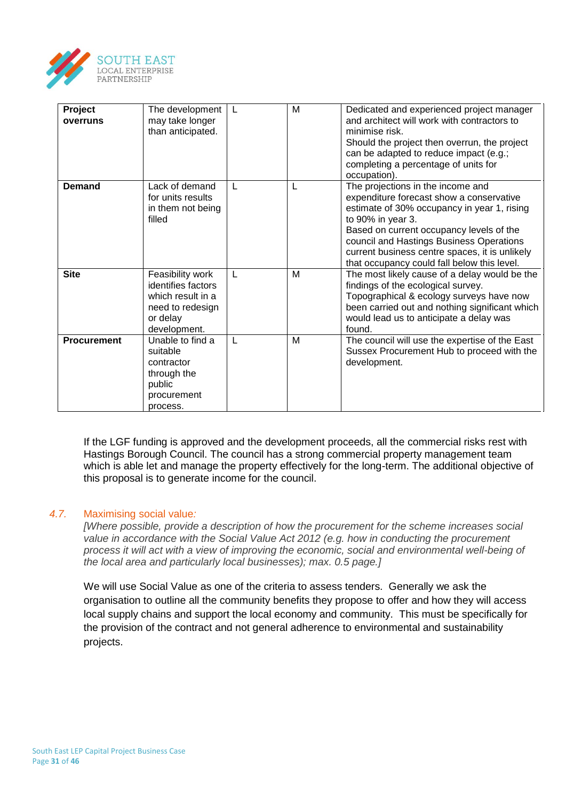

| Project<br>overruns | The development<br>may take longer<br>than anticipated.                                                     | L            | M | Dedicated and experienced project manager<br>and architect will work with contractors to<br>minimise risk.<br>Should the project then overrun, the project<br>can be adapted to reduce impact (e.g.;<br>completing a percentage of units for<br>occupation).                                                                               |
|---------------------|-------------------------------------------------------------------------------------------------------------|--------------|---|--------------------------------------------------------------------------------------------------------------------------------------------------------------------------------------------------------------------------------------------------------------------------------------------------------------------------------------------|
| <b>Demand</b>       | Lack of demand<br>for units results<br>in them not being<br>filled                                          | $\mathbf{L}$ | L | The projections in the income and<br>expenditure forecast show a conservative<br>estimate of 30% occupancy in year 1, rising<br>to 90% in year 3.<br>Based on current occupancy levels of the<br>council and Hastings Business Operations<br>current business centre spaces, it is unlikely<br>that occupancy could fall below this level. |
| <b>Site</b>         | Feasibility work<br>identifies factors<br>which result in a<br>need to redesign<br>or delay<br>development. | L            | M | The most likely cause of a delay would be the<br>findings of the ecological survey.<br>Topographical & ecology surveys have now<br>been carried out and nothing significant which<br>would lead us to anticipate a delay was<br>found.                                                                                                     |
| <b>Procurement</b>  | Unable to find a<br>suitable<br>contractor<br>through the<br>public<br>procurement<br>process.              | $\mathbf{I}$ | M | The council will use the expertise of the East<br>Sussex Procurement Hub to proceed with the<br>development.                                                                                                                                                                                                                               |

If the LGF funding is approved and the development proceeds, all the commercial risks rest with Hastings Borough Council. The council has a strong commercial property management team which is able let and manage the property effectively for the long-term. The additional objective of this proposal is to generate income for the council.

### *4.7.* Maximising social value*:*

*[Where possible, provide a description of how the procurement for the scheme increases social value in accordance with the Social Value Act 2012 (e.g. how in conducting the procurement process it will act with a view of improving the economic, social and environmental well-being of the local area and particularly local businesses); max. 0.5 page.]*

We will use Social Value as one of the criteria to assess tenders. Generally we ask the organisation to outline all the community benefits they propose to offer and how they will access local supply chains and support the local economy and community. This must be specifically for the provision of the contract and not general adherence to environmental and sustainability projects.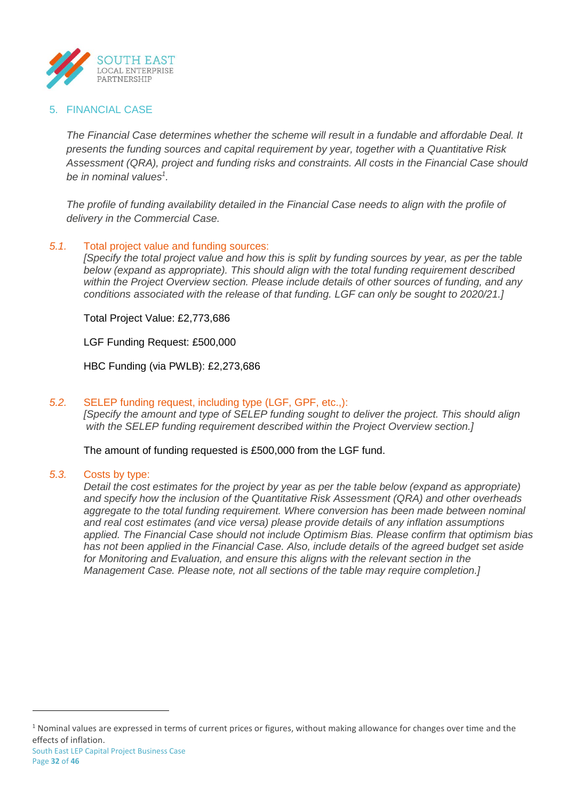

## 5. FINANCIAL CASE

*The Financial Case determines whether the scheme will result in a fundable and affordable Deal. It presents the funding sources and capital requirement by year, together with a Quantitative Risk Assessment (QRA), project and funding risks and constraints. All costs in the Financial Case should be in nominal values<sup>1</sup> .*

*The profile of funding availability detailed in the Financial Case needs to align with the profile of delivery in the Commercial Case.*

### *5.1.* Total project value and funding sources:

*[Specify the total project value and how this is split by funding sources by year, as per the table below (expand as appropriate). This should align with the total funding requirement described within the Project Overview section. Please include details of other sources of funding, and any conditions associated with the release of that funding. LGF can only be sought to 2020/21.]*

Total Project Value: £2,773,686

LGF Funding Request: £500,000

HBC Funding (via PWLB): £2,273,686

## *5.2.* SELEP funding request, including type (LGF, GPF, etc.,):

*[Specify the amount and type of SELEP funding sought to deliver the project. This should align with the SELEP funding requirement described within the Project Overview section.]*

The amount of funding requested is £500,000 from the LGF fund.

#### *5.3.* Costs by type:

*Detail the cost estimates for the project by year as per the table below (expand as appropriate) and specify how the inclusion of the Quantitative Risk Assessment (QRA) and other overheads aggregate to the total funding requirement. Where conversion has been made between nominal and real cost estimates (and vice versa) please provide details of any inflation assumptions applied. The Financial Case should not include Optimism Bias. Please confirm that optimism bias has not been applied in the Financial Case. Also, include details of the agreed budget set aside for Monitoring and Evaluation, and ensure this aligns with the relevant section in the Management Case. Please note, not all sections of the table may require completion.]*

 $\overline{a}$ 

 $1$  Nominal values are expressed in terms of current prices or figures, without making allowance for changes over time and the effects of inflation.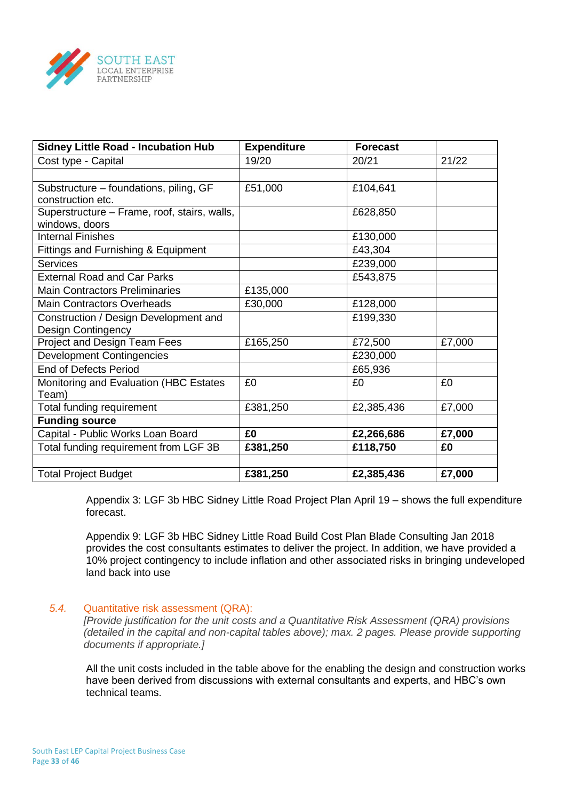

| <b>Sidney Little Road - Incubation Hub</b>     | <b>Expenditure</b> | <b>Forecast</b> |        |
|------------------------------------------------|--------------------|-----------------|--------|
| Cost type - Capital                            | 19/20              | 20/21           | 21/22  |
|                                                |                    |                 |        |
| Substructure – foundations, piling, GF         | £51,000            | £104,641        |        |
| construction etc.                              |                    |                 |        |
| Superstructure - Frame, roof, stairs, walls,   |                    | £628,850        |        |
| windows, doors                                 |                    |                 |        |
| <b>Internal Finishes</b>                       |                    | £130,000        |        |
| <b>Fittings and Furnishing &amp; Equipment</b> |                    | £43,304         |        |
| <b>Services</b>                                |                    | £239,000        |        |
| <b>External Road and Car Parks</b>             |                    | £543,875        |        |
| <b>Main Contractors Preliminaries</b>          | £135,000           |                 |        |
| <b>Main Contractors Overheads</b>              | £30,000            | £128,000        |        |
| Construction / Design Development and          |                    | £199,330        |        |
| <b>Design Contingency</b>                      |                    |                 |        |
| Project and Design Team Fees                   | £165,250           | £72,500         | £7,000 |
| <b>Development Contingencies</b>               |                    | £230,000        |        |
| <b>End of Defects Period</b>                   |                    | £65,936         |        |
| Monitoring and Evaluation (HBC Estates         | £0                 | £0              | £0     |
| Team)                                          |                    |                 |        |
| Total funding requirement                      | £381,250           | £2,385,436      | £7,000 |
| <b>Funding source</b>                          |                    |                 |        |
| Capital - Public Works Loan Board              | £0                 | £2,266,686      | £7,000 |
| Total funding requirement from LGF 3B          | £381,250           | £118,750        | £0     |
|                                                |                    |                 |        |
| <b>Total Project Budget</b>                    | £381,250           | £2,385,436      | £7,000 |

Appendix 3: LGF 3b HBC Sidney Little Road Project Plan April 19 – shows the full expenditure forecast.

Appendix 9: LGF 3b HBC Sidney Little Road Build Cost Plan Blade Consulting Jan 2018 provides the cost consultants estimates to deliver the project. In addition, we have provided a 10% project contingency to include inflation and other associated risks in bringing undeveloped land back into use

#### *5.4.* Quantitative risk assessment (QRA):

*[Provide justification for the unit costs and a Quantitative Risk Assessment (QRA) provisions (detailed in the capital and non-capital tables above); max. 2 pages. Please provide supporting documents if appropriate.]*

All the unit costs included in the table above for the enabling the design and construction works have been derived from discussions with external consultants and experts, and HBC's own technical teams.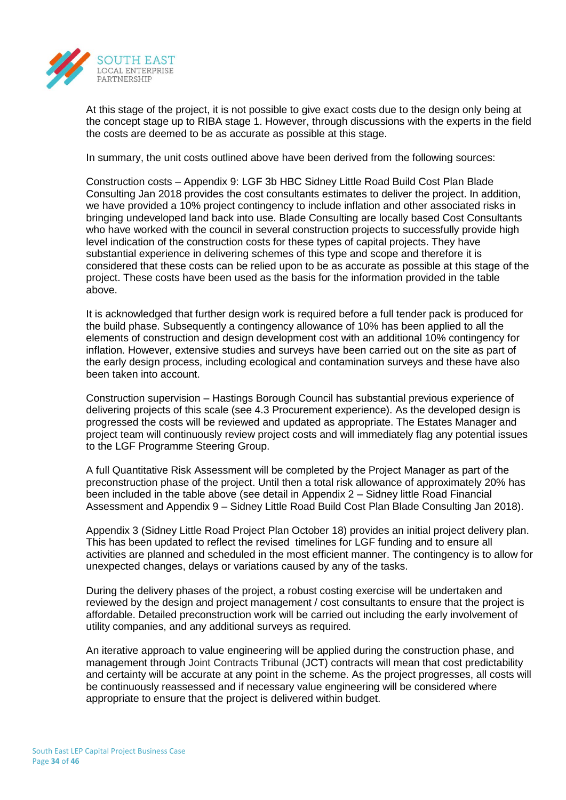

At this stage of the project, it is not possible to give exact costs due to the design only being at the concept stage up to RIBA stage 1. However, through discussions with the experts in the field the costs are deemed to be as accurate as possible at this stage.

In summary, the unit costs outlined above have been derived from the following sources:

Construction costs – Appendix 9: LGF 3b HBC Sidney Little Road Build Cost Plan Blade Consulting Jan 2018 provides the cost consultants estimates to deliver the project. In addition, we have provided a 10% project contingency to include inflation and other associated risks in bringing undeveloped land back into use. Blade Consulting are locally based Cost Consultants who have worked with the council in several construction projects to successfully provide high level indication of the construction costs for these types of capital projects. They have substantial experience in delivering schemes of this type and scope and therefore it is considered that these costs can be relied upon to be as accurate as possible at this stage of the project. These costs have been used as the basis for the information provided in the table above.

It is acknowledged that further design work is required before a full tender pack is produced for the build phase. Subsequently a contingency allowance of 10% has been applied to all the elements of construction and design development cost with an additional 10% contingency for inflation. However, extensive studies and surveys have been carried out on the site as part of the early design process, including ecological and contamination surveys and these have also been taken into account.

Construction supervision – Hastings Borough Council has substantial previous experience of delivering projects of this scale (see 4.3 Procurement experience). As the developed design is progressed the costs will be reviewed and updated as appropriate. The Estates Manager and project team will continuously review project costs and will immediately flag any potential issues to the LGF Programme Steering Group.

A full Quantitative Risk Assessment will be completed by the Project Manager as part of the preconstruction phase of the project. Until then a total risk allowance of approximately 20% has been included in the table above (see detail in Appendix 2 – Sidney little Road Financial Assessment and Appendix 9 – Sidney Little Road Build Cost Plan Blade Consulting Jan 2018).

Appendix 3 (Sidney Little Road Project Plan October 18) provides an initial project delivery plan. This has been updated to reflect the revised timelines for LGF funding and to ensure all activities are planned and scheduled in the most efficient manner. The contingency is to allow for unexpected changes, delays or variations caused by any of the tasks.

During the delivery phases of the project, a robust costing exercise will be undertaken and reviewed by the design and project management / cost consultants to ensure that the project is affordable. Detailed preconstruction work will be carried out including the early involvement of utility companies, and any additional surveys as required.

An iterative approach to value engineering will be applied during the construction phase, and management through Joint Contracts Tribunal (JCT) contracts will mean that cost predictability and certainty will be accurate at any point in the scheme. As the project progresses, all costs will be continuously reassessed and if necessary value engineering will be considered where appropriate to ensure that the project is delivered within budget.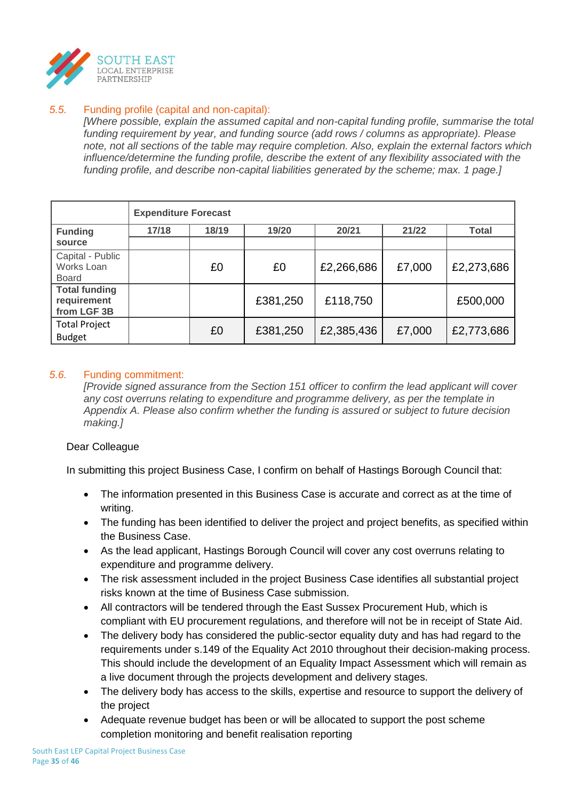

## *5.5.* Funding profile (capital and non-capital):

*[Where possible, explain the assumed capital and non-capital funding profile, summarise the total funding requirement by year, and funding source (add rows / columns as appropriate). Please note, not all sections of the table may require completion. Also, explain the external factors which influence/determine the funding profile, describe the extent of any flexibility associated with the funding profile, and describe non-capital liabilities generated by the scheme; max. 1 page.]*

|                                                    | <b>Expenditure Forecast</b> |       |          |            |        |              |
|----------------------------------------------------|-----------------------------|-------|----------|------------|--------|--------------|
| <b>Funding</b>                                     | 17/18                       | 18/19 | 19/20    | 20/21      | 21/22  | <b>Total</b> |
| source                                             |                             |       |          |            |        |              |
| Capital - Public<br>Works Loan<br><b>Board</b>     |                             | £0    | £0       | £2,266,686 | £7,000 | £2,273,686   |
| <b>Total funding</b><br>requirement<br>from LGF 3B |                             |       | £381,250 | £118,750   |        | £500,000     |
| <b>Total Project</b><br><b>Budget</b>              |                             | £0    | £381,250 | £2,385,436 | £7,000 | £2,773,686   |

## *5.6.* Funding commitment:

*[Provide signed assurance from the Section 151 officer to confirm the lead applicant will cover any cost overruns relating to expenditure and programme delivery, as per the template in Appendix A. Please also confirm whether the funding is assured or subject to future decision making.]*

## Dear Colleague

In submitting this project Business Case, I confirm on behalf of Hastings Borough Council that:

- The information presented in this Business Case is accurate and correct as at the time of writing.
- The funding has been identified to deliver the project and project benefits, as specified within the Business Case.
- As the lead applicant, Hastings Borough Council will cover any cost overruns relating to expenditure and programme delivery.
- The risk assessment included in the project Business Case identifies all substantial project risks known at the time of Business Case submission.
- All contractors will be tendered through the East Sussex Procurement Hub, which is compliant with EU procurement regulations, and therefore will not be in receipt of State Aid.
- The delivery body has considered the public-sector equality duty and has had regard to the requirements under s.149 of the Equality Act 2010 throughout their decision-making process. This should include the development of an Equality Impact Assessment which will remain as a live document through the projects development and delivery stages.
- The delivery body has access to the skills, expertise and resource to support the delivery of the project
- Adequate revenue budget has been or will be allocated to support the post scheme completion monitoring and benefit realisation reporting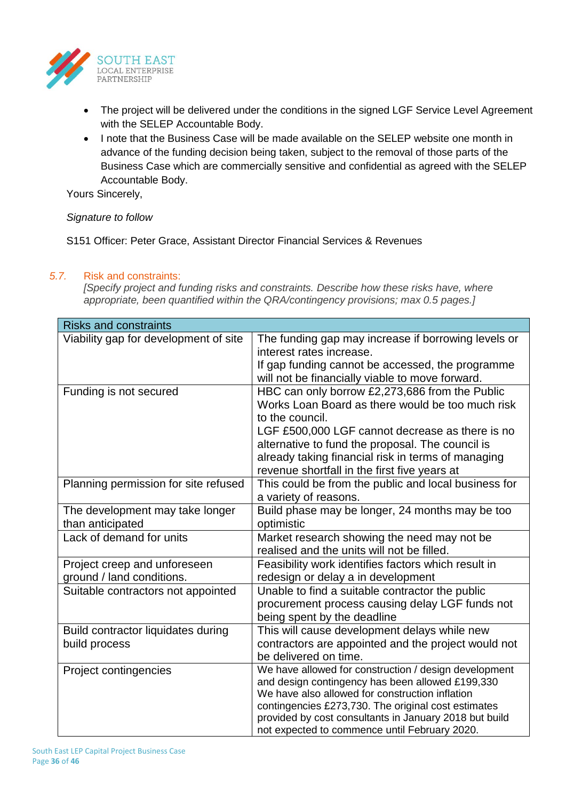

- The project will be delivered under the conditions in the signed LGF Service Level Agreement with the SELEP Accountable Body.
- I note that the Business Case will be made available on the SELEP website one month in advance of the funding decision being taken, subject to the removal of those parts of the Business Case which are commercially sensitive and confidential as agreed with the SELEP Accountable Body.

Yours Sincerely,

## *Signature to follow*

S151 Officer: Peter Grace, Assistant Director Financial Services & Revenues

### *5.7.* Risk and constraints:

*[Specify project and funding risks and constraints. Describe how these risks have, where appropriate, been quantified within the QRA/contingency provisions; max 0.5 pages.]*

| <b>Risks and constraints</b>                              |                                                                                                                                                                                                                                                                                                                                    |
|-----------------------------------------------------------|------------------------------------------------------------------------------------------------------------------------------------------------------------------------------------------------------------------------------------------------------------------------------------------------------------------------------------|
| Viability gap for development of site                     | The funding gap may increase if borrowing levels or<br>interest rates increase.<br>If gap funding cannot be accessed, the programme<br>will not be financially viable to move forward.                                                                                                                                             |
| Funding is not secured                                    | HBC can only borrow £2,273,686 from the Public<br>Works Loan Board as there would be too much risk<br>to the council.<br>LGF £500,000 LGF cannot decrease as there is no<br>alternative to fund the proposal. The council is<br>already taking financial risk in terms of managing<br>revenue shortfall in the first five years at |
| Planning permission for site refused                      | This could be from the public and local business for<br>a variety of reasons.                                                                                                                                                                                                                                                      |
| The development may take longer<br>than anticipated       | Build phase may be longer, 24 months may be too<br>optimistic                                                                                                                                                                                                                                                                      |
| Lack of demand for units                                  | Market research showing the need may not be<br>realised and the units will not be filled.                                                                                                                                                                                                                                          |
| Project creep and unforeseen<br>ground / land conditions. | Feasibility work identifies factors which result in<br>redesign or delay a in development                                                                                                                                                                                                                                          |
| Suitable contractors not appointed                        | Unable to find a suitable contractor the public<br>procurement process causing delay LGF funds not<br>being spent by the deadline                                                                                                                                                                                                  |
| Build contractor liquidates during<br>build process       | This will cause development delays while new<br>contractors are appointed and the project would not<br>be delivered on time.                                                                                                                                                                                                       |
| Project contingencies                                     | We have allowed for construction / design development<br>and design contingency has been allowed £199,330<br>We have also allowed for construction inflation<br>contingencies £273,730. The original cost estimates<br>provided by cost consultants in January 2018 but build<br>not expected to commence until February 2020.     |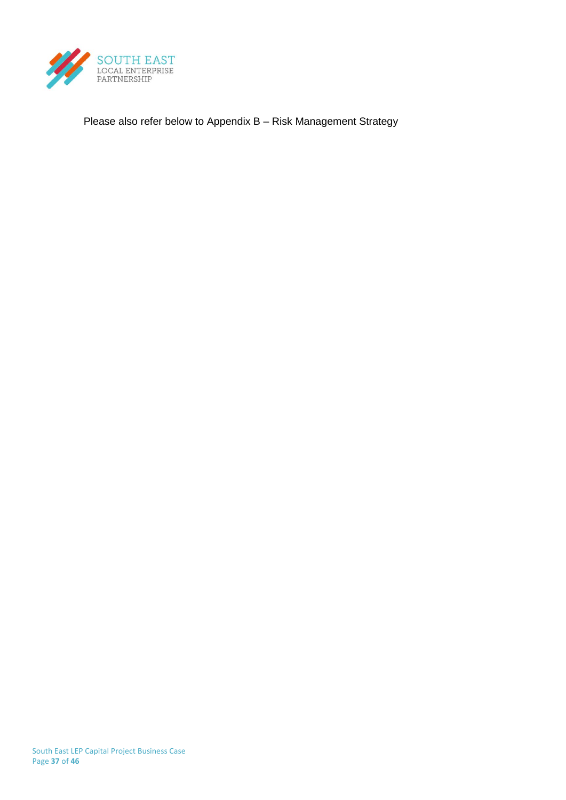

Please also refer below to Appendix B – Risk Management Strategy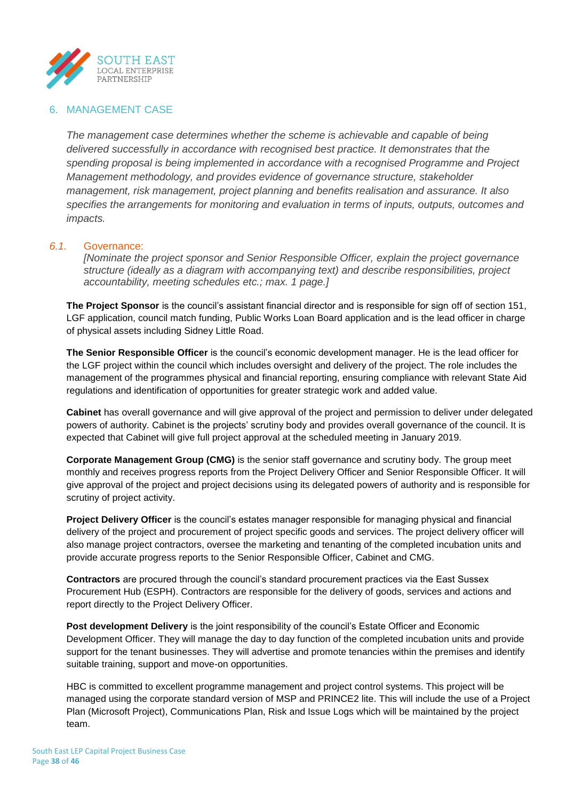

## 6. MANAGEMENT CASE

*The management case determines whether the scheme is achievable and capable of being delivered successfully in accordance with recognised best practice. It demonstrates that the spending proposal is being implemented in accordance with a recognised Programme and Project Management methodology, and provides evidence of governance structure, stakeholder management, risk management, project planning and benefits realisation and assurance. It also specifies the arrangements for monitoring and evaluation in terms of inputs, outputs, outcomes and impacts.*

### *6.1.* Governance:

*[Nominate the project sponsor and Senior Responsible Officer, explain the project governance structure (ideally as a diagram with accompanying text) and describe responsibilities, project accountability, meeting schedules etc.; max. 1 page.]*

**The Project Sponsor** is the council's assistant financial director and is responsible for sign off of section 151, LGF application, council match funding, Public Works Loan Board application and is the lead officer in charge of physical assets including Sidney Little Road.

**The Senior Responsible Officer** is the council's economic development manager. He is the lead officer for the LGF project within the council which includes oversight and delivery of the project. The role includes the management of the programmes physical and financial reporting, ensuring compliance with relevant State Aid regulations and identification of opportunities for greater strategic work and added value.

**Cabinet** has overall governance and will give approval of the project and permission to deliver under delegated powers of authority. Cabinet is the projects' scrutiny body and provides overall governance of the council. It is expected that Cabinet will give full project approval at the scheduled meeting in January 2019.

**Corporate Management Group (CMG)** is the senior staff governance and scrutiny body. The group meet monthly and receives progress reports from the Project Delivery Officer and Senior Responsible Officer. It will give approval of the project and project decisions using its delegated powers of authority and is responsible for scrutiny of project activity.

**Project Delivery Officer** is the council's estates manager responsible for managing physical and financial delivery of the project and procurement of project specific goods and services. The project delivery officer will also manage project contractors, oversee the marketing and tenanting of the completed incubation units and provide accurate progress reports to the Senior Responsible Officer, Cabinet and CMG.

**Contractors** are procured through the council's standard procurement practices via the East Sussex Procurement Hub (ESPH). Contractors are responsible for the delivery of goods, services and actions and report directly to the Project Delivery Officer.

**Post development Delivery** is the joint responsibility of the council's Estate Officer and Economic Development Officer. They will manage the day to day function of the completed incubation units and provide support for the tenant businesses. They will advertise and promote tenancies within the premises and identify suitable training, support and move-on opportunities.

HBC is committed to excellent programme management and project control systems. This project will be managed using the corporate standard version of MSP and PRINCE2 lite. This will include the use of a Project Plan (Microsoft Project), Communications Plan, Risk and Issue Logs which will be maintained by the project team.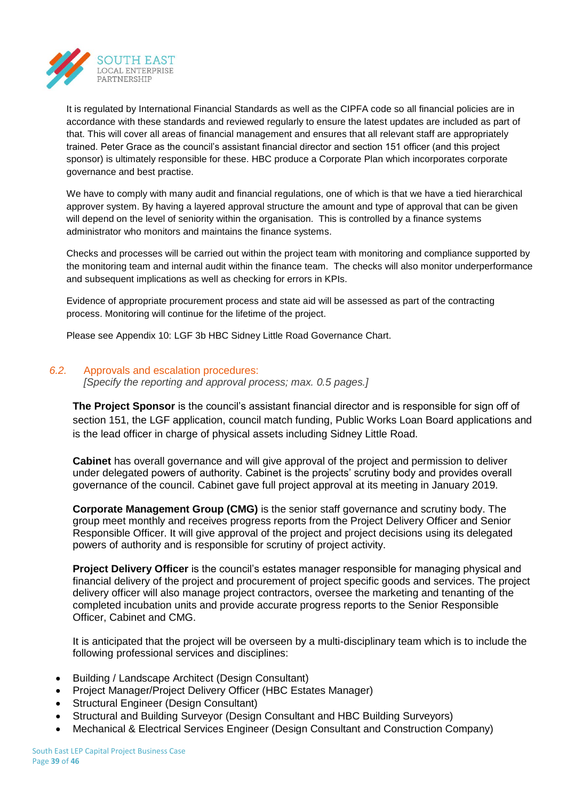

It is regulated by International Financial Standards as well as the CIPFA code so all financial policies are in accordance with these standards and reviewed regularly to ensure the latest updates are included as part of that. This will cover all areas of financial management and ensures that all relevant staff are appropriately trained. Peter Grace as the council's assistant financial director and section 151 officer (and this project sponsor) is ultimately responsible for these. HBC produce a Corporate Plan which incorporates corporate governance and best practise.

We have to comply with many audit and financial regulations, one of which is that we have a tied hierarchical approver system. By having a layered approval structure the amount and type of approval that can be given will depend on the level of seniority within the organisation. This is controlled by a finance systems administrator who monitors and maintains the finance systems.

Checks and processes will be carried out within the project team with monitoring and compliance supported by the monitoring team and internal audit within the finance team. The checks will also monitor underperformance and subsequent implications as well as checking for errors in KPIs.

Evidence of appropriate procurement process and state aid will be assessed as part of the contracting process. Monitoring will continue for the lifetime of the project.

Please see Appendix 10: LGF 3b HBC Sidney Little Road Governance Chart.

### *6.2.* Approvals and escalation procedures:

*[Specify the reporting and approval process; max. 0.5 pages.]*

**The Project Sponsor** is the council's assistant financial director and is responsible for sign off of section 151, the LGF application, council match funding, Public Works Loan Board applications and is the lead officer in charge of physical assets including Sidney Little Road.

**Cabinet** has overall governance and will give approval of the project and permission to deliver under delegated powers of authority. Cabinet is the projects' scrutiny body and provides overall governance of the council. Cabinet gave full project approval at its meeting in January 2019.

**Corporate Management Group (CMG)** is the senior staff governance and scrutiny body. The group meet monthly and receives progress reports from the Project Delivery Officer and Senior Responsible Officer. It will give approval of the project and project decisions using its delegated powers of authority and is responsible for scrutiny of project activity.

**Project Delivery Officer** is the council's estates manager responsible for managing physical and financial delivery of the project and procurement of project specific goods and services. The project delivery officer will also manage project contractors, oversee the marketing and tenanting of the completed incubation units and provide accurate progress reports to the Senior Responsible Officer, Cabinet and CMG.

It is anticipated that the project will be overseen by a multi-disciplinary team which is to include the following professional services and disciplines:

- Building / Landscape Architect (Design Consultant)
- Project Manager/Project Delivery Officer (HBC Estates Manager)
- Structural Engineer (Design Consultant)
- Structural and Building Surveyor (Design Consultant and HBC Building Surveyors)
- Mechanical & Electrical Services Engineer (Design Consultant and Construction Company)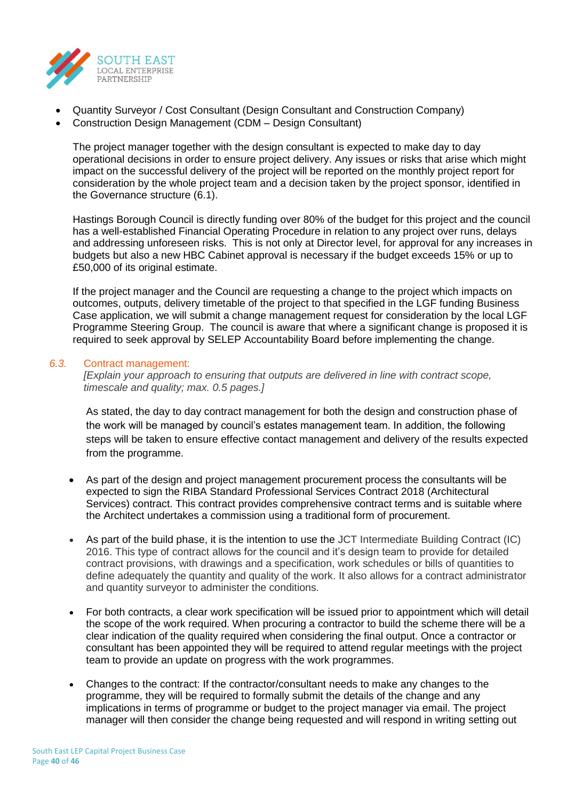

- Quantity Surveyor / Cost Consultant (Design Consultant and Construction Company)
- Construction Design Management (CDM Design Consultant)

The project manager together with the design consultant is expected to make day to day operational decisions in order to ensure project delivery. Any issues or risks that arise which might impact on the successful delivery of the project will be reported on the monthly project report for consideration by the whole project team and a decision taken by the project sponsor, identified in the Governance structure (6.1).

Hastings Borough Council is directly funding over 80% of the budget for this project and the council has a well-established Financial Operating Procedure in relation to any project over runs, delays and addressing unforeseen risks. This is not only at Director level, for approval for any increases in budgets but also a new HBC Cabinet approval is necessary if the budget exceeds 15% or up to £50,000 of its original estimate.

If the project manager and the Council are requesting a change to the project which impacts on outcomes, outputs, delivery timetable of the project to that specified in the LGF funding Business Case application, we will submit a change management request for consideration by the local LGF Programme Steering Group. The council is aware that where a significant change is proposed it is required to seek approval by SELEP Accountability Board before implementing the change.

### *6.3.* Contract management:

*[Explain your approach to ensuring that outputs are delivered in line with contract scope, timescale and quality; max. 0.5 pages.]*

As stated, the day to day contract management for both the design and construction phase of the work will be managed by council's estates management team. In addition, the following steps will be taken to ensure effective contact management and delivery of the results expected from the programme.

- As part of the design and project management procurement process the consultants will be expected to sign the RIBA Standard Professional Services Contract 2018 (Architectural Services) contract. This contract provides comprehensive contract terms and is suitable where the Architect undertakes a commission using a traditional form of procurement.
- As part of the build phase, it is the intention to use the JCT Intermediate Building Contract (IC) 2016. This type of contract allows for the council and it's design team to provide for detailed contract provisions, with drawings and a specification, work schedules or bills of quantities to define adequately the quantity and quality of the work. It also allows for a contract administrator and quantity surveyor to administer the conditions.
- For both contracts, a clear work specification will be issued prior to appointment which will detail the scope of the work required. When procuring a contractor to build the scheme there will be a clear indication of the quality required when considering the final output. Once a contractor or consultant has been appointed they will be required to attend regular meetings with the project team to provide an update on progress with the work programmes.
- Changes to the contract: If the contractor/consultant needs to make any changes to the programme, they will be required to formally submit the details of the change and any implications in terms of programme or budget to the project manager via email. The project manager will then consider the change being requested and will respond in writing setting out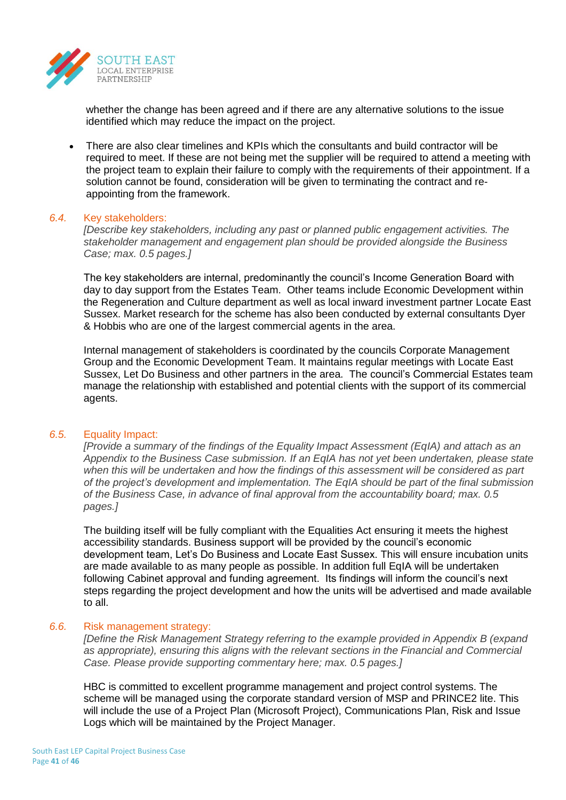

whether the change has been agreed and if there are any alternative solutions to the issue identified which may reduce the impact on the project.

• There are also clear timelines and KPIs which the consultants and build contractor will be required to meet. If these are not being met the supplier will be required to attend a meeting with the project team to explain their failure to comply with the requirements of their appointment. If a solution cannot be found, consideration will be given to terminating the contract and reappointing from the framework.

#### *6.4.* Key stakeholders:

*[Describe key stakeholders, including any past or planned public engagement activities. The stakeholder management and engagement plan should be provided alongside the Business Case; max. 0.5 pages.]*

The key stakeholders are internal, predominantly the council's Income Generation Board with day to day support from the Estates Team. Other teams include Economic Development within the Regeneration and Culture department as well as local inward investment partner Locate East Sussex. Market research for the scheme has also been conducted by external consultants Dyer & Hobbis who are one of the largest commercial agents in the area.

Internal management of stakeholders is coordinated by the councils Corporate Management Group and the Economic Development Team. It maintains regular meetings with Locate East Sussex, Let Do Business and other partners in the area. The council's Commercial Estates team manage the relationship with established and potential clients with the support of its commercial agents.

#### *6.5.* Equality Impact:

*[Provide a summary of the findings of the Equality Impact Assessment (EqIA) and attach as an Appendix to the Business Case submission. If an EqIA has not yet been undertaken, please state when this will be undertaken and how the findings of this assessment will be considered as part of the project's development and implementation. The EqIA should be part of the final submission of the Business Case, in advance of final approval from the accountability board; max. 0.5 pages.]*

The building itself will be fully compliant with the Equalities Act ensuring it meets the highest accessibility standards. Business support will be provided by the council's economic development team, Let's Do Business and Locate East Sussex. This will ensure incubation units are made available to as many people as possible. In addition full EqIA will be undertaken following Cabinet approval and funding agreement. Its findings will inform the council's next steps regarding the project development and how the units will be advertised and made available to all.

#### *6.6.* Risk management strategy:

*[Define the Risk Management Strategy referring to the example provided in Appendix B (expand as appropriate), ensuring this aligns with the relevant sections in the Financial and Commercial Case. Please provide supporting commentary here; max. 0.5 pages.]*

HBC is committed to excellent programme management and project control systems. The scheme will be managed using the corporate standard version of MSP and PRINCE2 lite. This will include the use of a Project Plan (Microsoft Project), Communications Plan, Risk and Issue Logs which will be maintained by the Project Manager.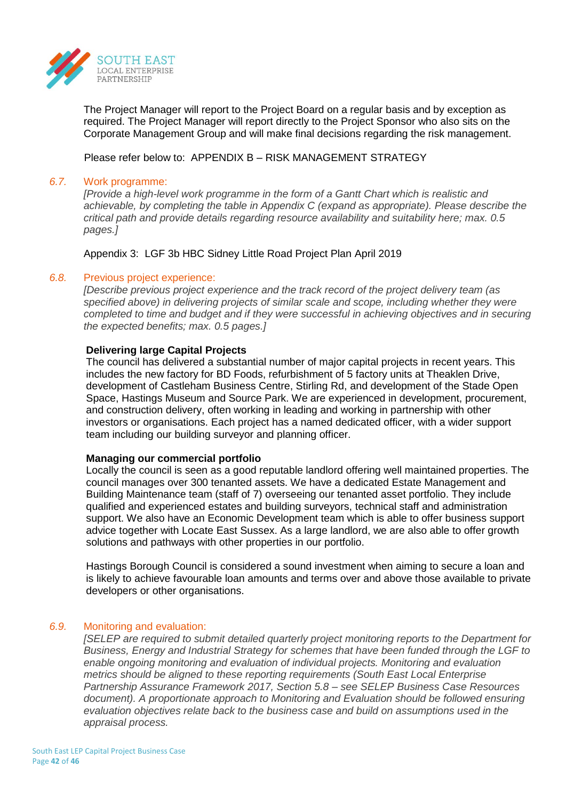

The Project Manager will report to the Project Board on a regular basis and by exception as required. The Project Manager will report directly to the Project Sponsor who also sits on the Corporate Management Group and will make final decisions regarding the risk management.

Please refer below to: APPENDIX B – RISK MANAGEMENT STRATEGY

### *6.7.* Work programme:

*[Provide a high-level work programme in the form of a Gantt Chart which is realistic and achievable, by completing the table in Appendix C (expand as appropriate). Please describe the critical path and provide details regarding resource availability and suitability here; max. 0.5 pages.]*

Appendix 3: LGF 3b HBC Sidney Little Road Project Plan April 2019

### *6.8.* Previous project experience:

*[Describe previous project experience and the track record of the project delivery team (as specified above) in delivering projects of similar scale and scope, including whether they were completed to time and budget and if they were successful in achieving objectives and in securing the expected benefits; max. 0.5 pages.]*

### **Delivering large Capital Projects**

The council has delivered a substantial number of major capital projects in recent years. This includes the new factory for BD Foods, refurbishment of 5 factory units at Theaklen Drive, development of Castleham Business Centre, Stirling Rd, and development of the Stade Open Space, Hastings Museum and Source Park. We are experienced in development, procurement, and construction delivery, often working in leading and working in partnership with other investors or organisations. Each project has a named dedicated officer, with a wider support team including our building surveyor and planning officer.

#### **Managing our commercial portfolio**

Locally the council is seen as a good reputable landlord offering well maintained properties. The council manages over 300 tenanted assets. We have a dedicated Estate Management and Building Maintenance team (staff of 7) overseeing our tenanted asset portfolio. They include qualified and experienced estates and building surveyors, technical staff and administration support. We also have an Economic Development team which is able to offer business support advice together with Locate East Sussex. As a large landlord, we are also able to offer growth solutions and pathways with other properties in our portfolio.

Hastings Borough Council is considered a sound investment when aiming to secure a loan and is likely to achieve favourable loan amounts and terms over and above those available to private developers or other organisations.

## *6.9.* Monitoring and evaluation:

*[SELEP are required to submit detailed quarterly project monitoring reports to the Department for Business, Energy and Industrial Strategy for schemes that have been funded through the LGF to enable ongoing monitoring and evaluation of individual projects. Monitoring and evaluation metrics should be aligned to these reporting requirements (South East Local Enterprise Partnership Assurance Framework 2017, Section 5.8 – see SELEP Business Case Resources document). A proportionate approach to Monitoring and Evaluation should be followed ensuring evaluation objectives relate back to the business case and build on assumptions used in the appraisal process.*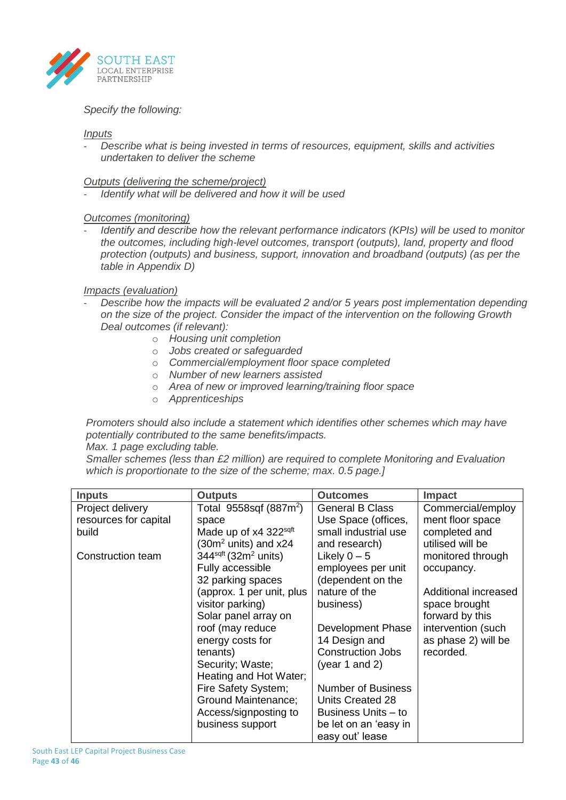

### *Specify the following:*

#### *Inputs*

- *Describe what is being invested in terms of resources, equipment, skills and activities undertaken to deliver the scheme*

*Outputs (delivering the scheme/project)*

- *Identify what will be delivered and how it will be used*

## *Outcomes (monitoring)*

*Identify and describe how the relevant performance indicators (KPIs) will be used to monitor the outcomes, including high-level outcomes, transport (outputs), land, property and flood protection (outputs) and business, support, innovation and broadband (outputs) (as per the table in Appendix D)*

### *Impacts (evaluation)*

- *Describe how the impacts will be evaluated 2 and/or 5 years post implementation depending on the size of the project. Consider the impact of the intervention on the following Growth Deal outcomes (if relevant):*
	- o *Housing unit completion*
	- o *Jobs created or safeguarded*
	- o *Commercial/employment floor space completed*
	- o *Number of new learners assisted*
	- o *Area of new or improved learning/training floor space*
	- o *Apprenticeships*

*Promoters should also include a statement which identifies other schemes which may have potentially contributed to the same benefits/impacts.* 

#### *Max. 1 page excluding table.*

*Smaller schemes (less than £2 million) are required to complete Monitoring and Evaluation which is proportionate to the size of the scheme; max. 0.5 page.]*

| <b>Inputs</b>         | <b>Outputs</b>                        | <b>Outcomes</b>                          | <b>Impact</b>        |
|-----------------------|---------------------------------------|------------------------------------------|----------------------|
| Project delivery      | Total $9558$ sqf (887m <sup>2</sup> ) | <b>General B Class</b>                   | Commercial/employ    |
| resources for capital | space                                 | Use Space (offices,                      | ment floor space     |
| build                 | Made up of x4 322sqft                 | small industrial use                     | completed and        |
|                       | (30 $m2$ units) and x24               | and research)                            | utilised will be     |
| Construction team     | $344sqrt (32m2 units)$                | Likely $0 - 5$                           | monitored through    |
|                       | Fully accessible                      | employees per unit                       | occupancy.           |
|                       | 32 parking spaces                     | (dependent on the                        |                      |
|                       | (approx. 1 per unit, plus             | nature of the                            | Additional increased |
|                       | visitor parking)                      | business)                                | space brought        |
|                       | Solar panel array on                  |                                          | forward by this      |
|                       | roof (may reduce                      | Development Phase                        | intervention (such   |
|                       | energy costs for                      | 14 Design and                            | as phase 2) will be  |
|                       | tenants)                              | <b>Construction Jobs</b>                 | recorded.            |
|                       | Security; Waste;                      | (year 1 and 2)                           |                      |
|                       | Heating and Hot Water;                |                                          |                      |
|                       | Fire Safety System;                   | Number of Business                       |                      |
|                       | Ground Maintenance;                   | Units Created 28                         |                      |
|                       | Access/signposting to                 | Business Units - to                      |                      |
|                       | business support                      | be let on an 'easy in<br>easy out' lease |                      |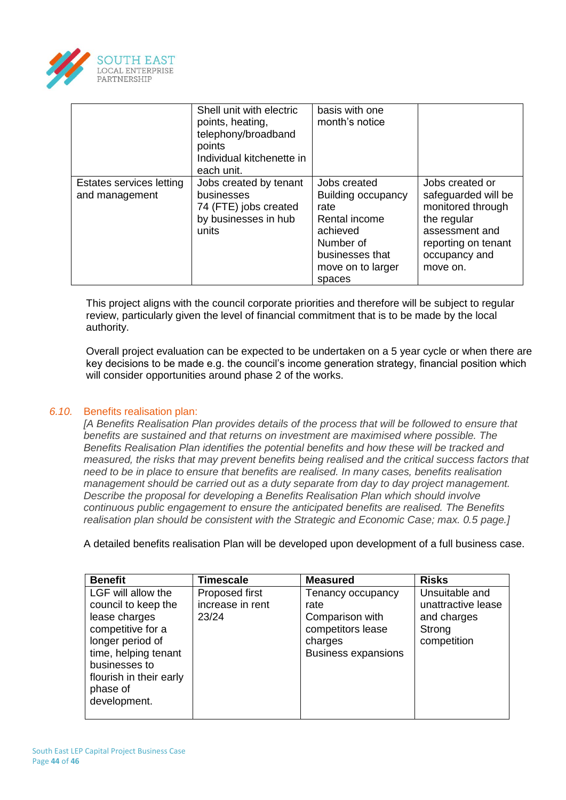

|                                            | Shell unit with electric<br>points, heating,<br>telephony/broadband<br>points<br>Individual kitchenette in<br>each unit. | basis with one<br>month's notice                                                                                                       |                                                                                                                                                  |
|--------------------------------------------|--------------------------------------------------------------------------------------------------------------------------|----------------------------------------------------------------------------------------------------------------------------------------|--------------------------------------------------------------------------------------------------------------------------------------------------|
| Estates services letting<br>and management | Jobs created by tenant<br>businesses<br>74 (FTE) jobs created<br>by businesses in hub<br>units                           | Jobs created<br>Building occupancy<br>rate<br>Rental income<br>achieved<br>Number of<br>businesses that<br>move on to larger<br>spaces | Jobs created or<br>safeguarded will be<br>monitored through<br>the regular<br>assessment and<br>reporting on tenant<br>occupancy and<br>move on. |

This project aligns with the council corporate priorities and therefore will be subject to regular review, particularly given the level of financial commitment that is to be made by the local authority.

Overall project evaluation can be expected to be undertaken on a 5 year cycle or when there are key decisions to be made e.g. the council's income generation strategy, financial position which will consider opportunities around phase 2 of the works.

## *6.10.* Benefits realisation plan:

*[A Benefits Realisation Plan provides details of the process that will be followed to ensure that benefits are sustained and that returns on investment are maximised where possible. The Benefits Realisation Plan identifies the potential benefits and how these will be tracked and measured, the risks that may prevent benefits being realised and the critical success factors that need to be in place to ensure that benefits are realised. In many cases, benefits realisation management should be carried out as a duty separate from day to day project management. Describe the proposal for developing a Benefits Realisation Plan which should involve continuous public engagement to ensure the anticipated benefits are realised. The Benefits realisation plan should be consistent with the Strategic and Economic Case; max. 0.5 page.]*

A detailed benefits realisation Plan will be developed upon development of a full business case.

| <b>Benefit</b>                                                                                                                                                                                      | <b>Timescale</b>                            | <b>Measured</b>                                                                                            | <b>Risks</b>                                                                 |
|-----------------------------------------------------------------------------------------------------------------------------------------------------------------------------------------------------|---------------------------------------------|------------------------------------------------------------------------------------------------------------|------------------------------------------------------------------------------|
| LGF will allow the<br>council to keep the<br>lease charges<br>competitive for a<br>longer period of<br>time, helping tenant<br>businesses to<br>flourish in their early<br>phase of<br>development. | Proposed first<br>increase in rent<br>23/24 | Tenancy occupancy<br>rate<br>Comparison with<br>competitors lease<br>charges<br><b>Business expansions</b> | Unsuitable and<br>unattractive lease<br>and charges<br>Strong<br>competition |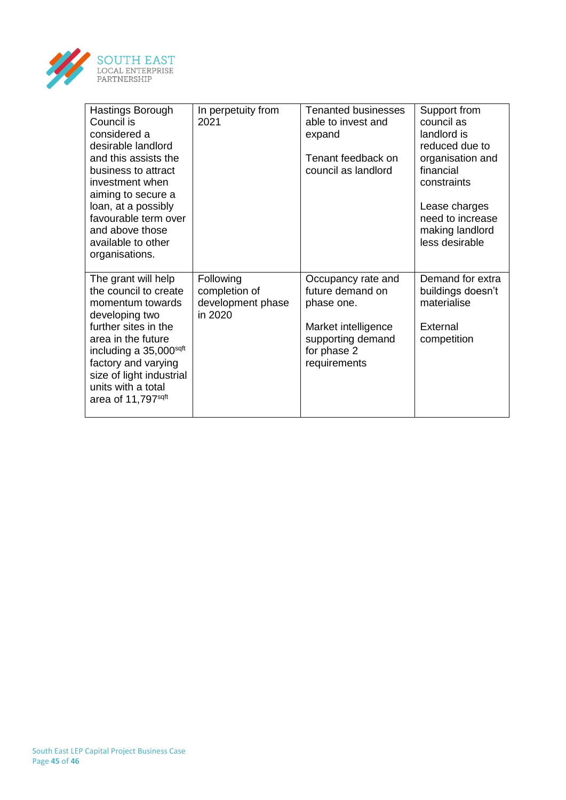

| Hastings Borough<br>Council is<br>considered a<br>desirable landlord<br>and this assists the<br>business to attract<br>investment when<br>aiming to secure a<br>loan, at a possibly<br>favourable term over<br>and above those<br>available to other<br>organisations. | In perpetuity from<br>2021                                 | <b>Tenanted businesses</b><br>able to invest and<br>expand<br>Tenant feedback on<br>council as landlord                         | Support from<br>council as<br>landlord is<br>reduced due to<br>organisation and<br>financial<br>constraints<br>Lease charges<br>need to increase<br>making landlord<br>less desirable |
|------------------------------------------------------------------------------------------------------------------------------------------------------------------------------------------------------------------------------------------------------------------------|------------------------------------------------------------|---------------------------------------------------------------------------------------------------------------------------------|---------------------------------------------------------------------------------------------------------------------------------------------------------------------------------------|
| The grant will help<br>the council to create<br>momentum towards<br>developing two<br>further sites in the<br>area in the future<br>including a 35,000sqft<br>factory and varying<br>size of light industrial<br>units with a total<br>area of 11,797 <sup>sqft</sup>  | Following<br>completion of<br>development phase<br>in 2020 | Occupancy rate and<br>future demand on<br>phase one.<br>Market intelligence<br>supporting demand<br>for phase 2<br>requirements | Demand for extra<br>buildings doesn't<br>materialise<br>External<br>competition                                                                                                       |